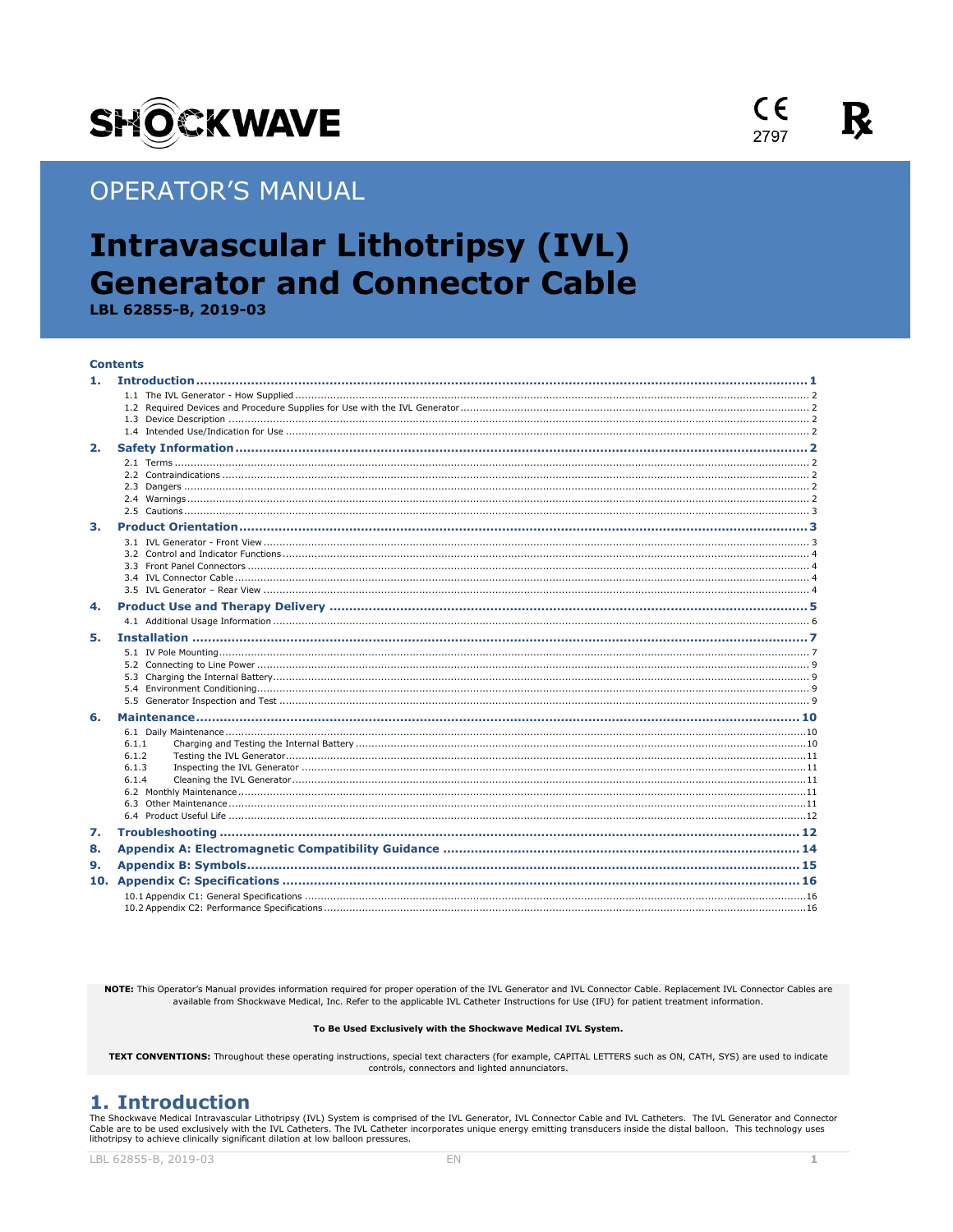

# **OPERATOR'S MANUAL**

# **Intravascular Lithotripsy (IVL) Generator and Connector Cable**

LBL 62855-B, 2019-03

#### **Contents**

| 2. |                |  |
|----|----------------|--|
|    |                |  |
|    |                |  |
|    |                |  |
|    |                |  |
| 3. |                |  |
|    |                |  |
|    |                |  |
|    |                |  |
|    |                |  |
|    |                |  |
| 4. |                |  |
|    |                |  |
| 5. |                |  |
|    |                |  |
|    |                |  |
|    |                |  |
|    |                |  |
|    |                |  |
| 6. |                |  |
|    |                |  |
|    | 6.1.1<br>6.1.2 |  |
|    | 6.1.3          |  |
|    | 6.1.4          |  |
|    |                |  |
|    |                |  |
|    |                |  |
| 7. |                |  |
| 8. |                |  |
| 9. |                |  |
|    |                |  |
|    |                |  |
|    |                |  |

NOTE: This Operator's Manual provides information required for proper operation of the IVL Generator and IVL Connector Cable. Replacement IVL Connector Cables are available from Shockwave Medical, Inc. Refer to the applicable IVL Catheter Instructions for Use (IFU) for patient treatment information.

#### To Be Used Exclusively with the Shockwave Medical IVL System.

TEXT CONVENTIONS: Throughout these operating instructions, special text characters (for example, CAPITAL LETTERS such as ON, CATH, SYS) are used to indicate controls, connectors and lighted annunciators.

## <span id="page-0-0"></span>1. Introduction

The Shockwave Medical Intravascular Lithotripsy (IVL) System is comprised of the IVL Generator, IVL Connector Cable and IVL Catheters. The IVL Generator and Connector The TW cannot and available through the EVL Gatheters. The EVL Gatheter incorporates unique energy emitting transducers inside the distal balloon. This technology uses<br>lithotripsy to achieve clinically significant dilation



 $\epsilon$ 

2797

К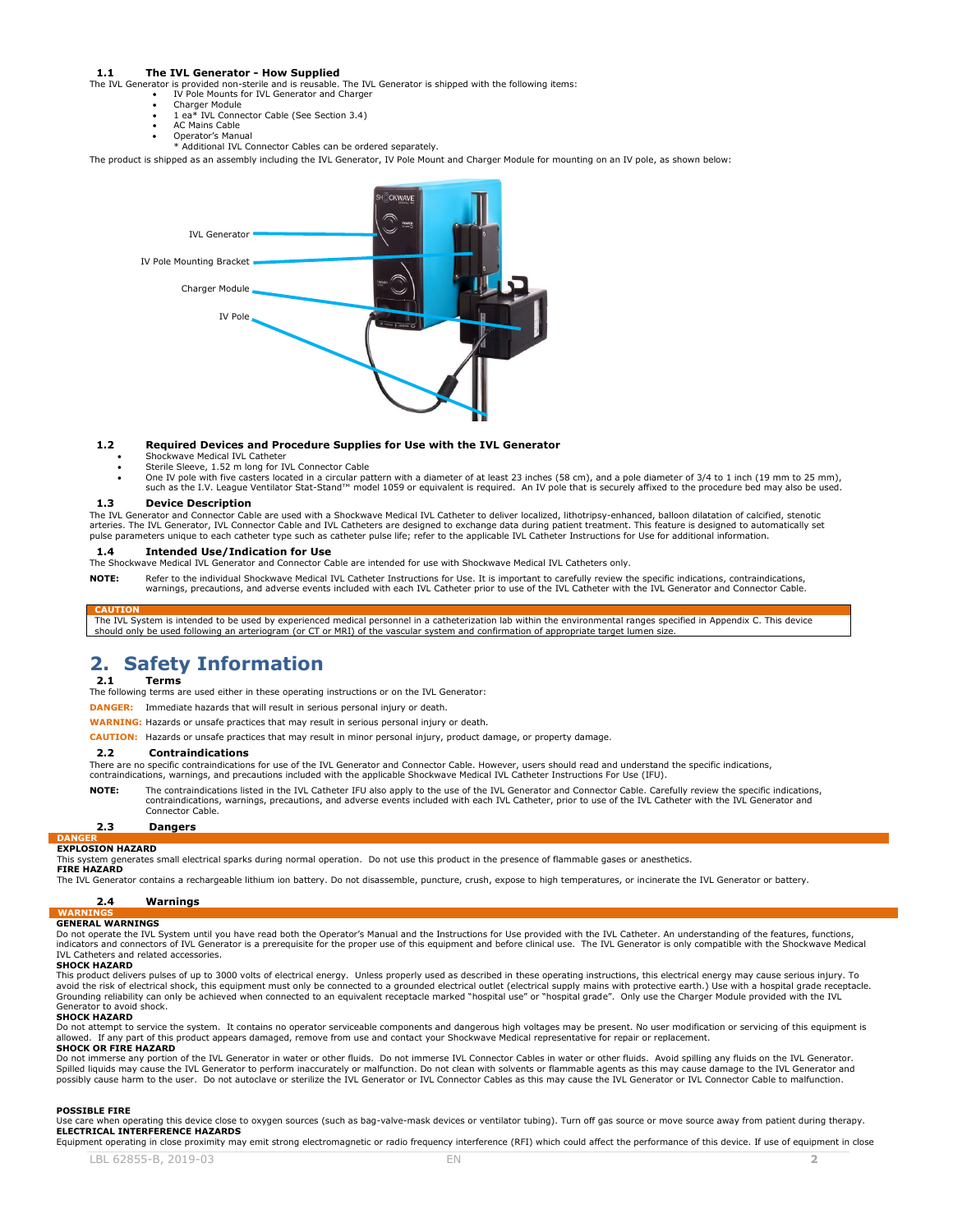#### <span id="page-1-0"></span>**1.1 The IVL Generator - How Supplied**

The IVL Generator is provided non-sterile and is reusable. The IVL Generator is shipped with the following items: IV Pole Mounts for IVL Generator and Charger

- 
- Charger Module 1 ea\* IVL Connector Cable (See Section 3.4)
- AC Mains Cable
- Operator's Manual \* Additional IVL Connector Cables can be ordered separately.

The product is shipped as an assembly including the IVL Generator, IV Pole Mount and Charger Module for mounting on an IV pole, as shown below:



#### <span id="page-1-1"></span>**1.2 Required Devices and Procedure Supplies for Use with the IVL Generator**

- Shockwave Medical IVL Catheter
- Sterile Sleeve, 1.52 m long for IVL Connector Cable
- One IV pole with five casters located in a circular pattern with a diameter of at least 23 inches (58 cm), and a pole diameter of 3/4 to 1 inch (19 mm to 25 mm),
- such as the I.V. League Ventilator Stat-Stand™ model 1059 or equivalent is required. An IV pole that is securely affixed to the procedure bed may also be used. **1.3 Device Description**

<span id="page-1-2"></span>The IVL Generator and Connector Cable are used with a Shockwave Medical IVL Catheter to deliver localized, lithotripsy-enhanced, balloon dilatation of calcified, stenotic arteries. The IVL Generator, IVL Connector Cable and IVL Catheters are designed to exchange data during patient treatment. This feature is designed to automatically set pulse parameters unique to each catheter type such as catheter pulse life; refer to the applicable IVL Catheter Instructions for Use for additional information.

#### <span id="page-1-3"></span>**1.4 Intended Use/Indication for Use**

The Shockwave Medical IVL Generator and Connector Cable are intended for use with Shockwave Medical IVL Catheters only.

**NOTE:** Refer to the individual Shockwave Medical IVL Catheter Instructions for Use. It is important to carefully review the specific indications, contraindications, warnings, precautions, and adverse events included with each IVL Catheter prior to use of the IVL Catheter with the IVL Generator and Connector Cable.

**CAUTION** The IVL System is intended to be used by experienced medical personnel in a catheterization lab within the environmental ranges specified in Appendix C. This device should only be used following an arteriogram (or CT or MRI) of the vascular system and confirmation of appropriate target lumen size.

## <span id="page-1-4"></span>**2. Safety Information**

#### <span id="page-1-5"></span>**2.1 Terms**

The following terms are used either in these operating instructions or on the IVL Generator:

**DANGER:** Immediate hazards that will result in serious personal injury or death.

**WARNING:** Hazards or unsafe practices that may result in serious personal injury or death.

**CAUTION:** Hazards or unsafe practices that may result in minor personal injury, product damage, or property damage.

#### <span id="page-1-6"></span>**2.2 Contraindications**

There are no specific contraindications for use of the IVL Generator and Connector Cable. However, users should read and understand the specific indications,

contraindications, warnings, and precautions included with the applicable Shockwave Medical IVL Catheter Instructions For Use (IFU).

<span id="page-1-7"></span>**NOTE:** The contraindications listed in the IVL Catheter IFU also apply to the use of the IVL Generator and Connector Cable. Carefully review the specific indications, contraindications, warnings, precautions, and adverse events included with each IVL Catheter, prior to use of the IVL Catheter with the IVL Generator and Connector Cable.

#### **2.3 Dangers**

#### **DANGER EXPLOSION HAZARD**

This system generates small electrical sparks during normal operation. Do not use this product in the presence of flammable gases or anesthetics. **FIRE HAZARD** 

#### The IVL Generator contains a rechargeable lithium ion battery. Do not disassemble, puncture, crush, expose to high temperatures, or incinerate the IVL Generator or battery.

#### <span id="page-1-8"></span>**2.4 Warnings**

## **WARNINGS GENERAL WARNINGS**

Do not operate the IVL System until you have read both the Operator's Manual and the Instructions for Use provided with the IVL Catheter. An understanding of the features, functions, indicators and connectors of IVL Generator is a prerequisite for the proper use of this equipment and before clinical use. The IVL Generator is only compatible with the Shockwave Medical IVL Catheters and related accessories.

#### **SHOCK HAZARD**

This product delivers pulses of up to 3000 volts of electrical energy. Unless properly used as described in these operating instructions, this electrical energy may cause serious injury. To<br>avoid the risk of electrical sho Grounding reliability can only be achieved when connected to an equivalent receptacle marked "hospital use" or "hospital grade". Only use the Charger Module provided with the IVL Generator to avoid shock.

#### **SHOCK HAZARD**

Do not attempt to service the system. It contains no operator serviceable components and dangerous high voltages may be present. No user modification or servicing of this equipment is allowed. If any part of this product appears damaged, remove from use and contact your Shockwave Medical representative for repair or replacement.

#### **SHOCK OR FIRE HAZARD**

Do not immerse any portion of the IVL Generator in water or other fluids. Do not immerse IVL Connector Cables in water or other fluids. Avoid spilling any fluids on the IVL Generator. Spilled liquids may cause the IVL Generator to perform inaccurately or malfunction. Do not clean with solvents or flammable agents as this may cause damage to the IVL Generator and possibly cause harm to the user. Do not autoclave or sterilize the IVL Generator or IVL Connector Cables as this may cause the IVL Generator or IVL Connector Cable to malfunction.

#### **POSSIBLE FIRE**

Use care when operating this device close to oxygen sources (such as bag-valve-mask devices or ventilator tubing). Turn off gas source or move source away from patient during therapy. **ELECTRICAL INTERFERENCE HAZARDS**

LBL 62855-B, 2019-03 **EN** Equipment operating in close proximity may emit strong electromagnetic or radio frequency interference (RFI) which could affect the performance of this device. If use of equipment in close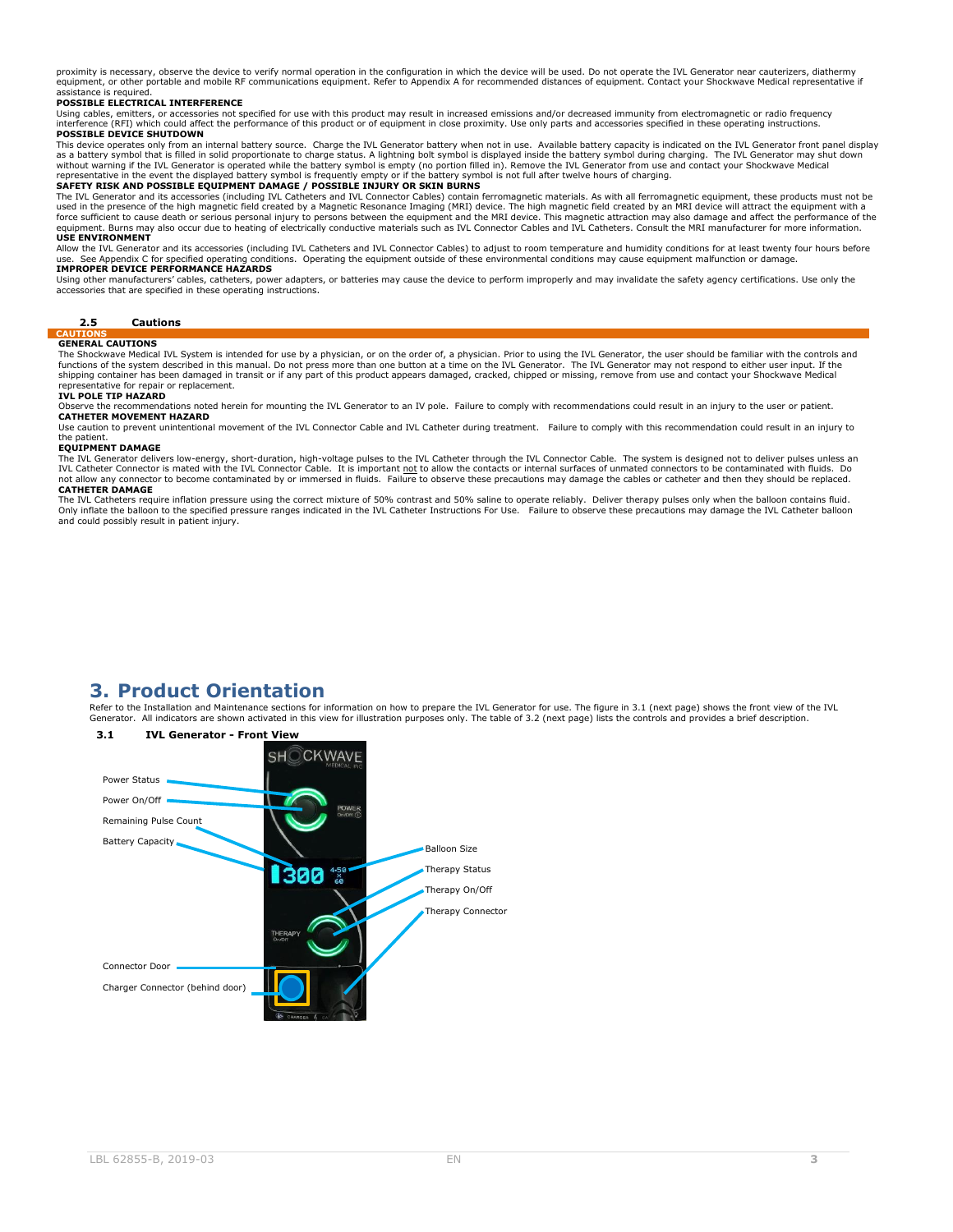proximity is necessary, observe the device to verify normal operation in the configuration in which the device will be used. Do not operate the IVL Generator near cauterizers, diathermy equipment, or other portable and mobile RF communications equipment. Refer to Appendix A for recommended distances of equipment. Contact your Shockwave Medical representative if assistance is required.

#### **POSSIBLE ELECTRICAL INTERFERENCE**

Using cables, emitters, or accessories not specified for use with this product may result in increased emissions and/or decreased immunity from electromagnetic or radio frequency<br>interference (RFI) which could affect the p **POSSIBLE DEVICE SHUTDOWN**

This device operates only from an internal battery source. Charge the IVL Generator battery when not in use. Available battery capacity is indicated on the IVL Generator front panel display as a battery symbol that is filled in solid proportionate to charge status. A lightning bolt symbol is displayed inside the battery symbol during charging. The IVL Generator may shut down<br>without warning if the IVL Generat

The IVL Generator and its accessories (including IVL Catheters and IVL Connector Cables) contain ferromagnetic materials. As with all ferromagnetic equipment, these products must not be<br>used in the presence of the high mag **USE ENVIRONMENT**

Allow the IVL Generator and its accessories (including IVL Catheters and IVL Connector Cables) to adjust to room temperature and humidity conditions for at least twenty four hours before<br>use. See Appendix C for specified o **IMPROPER DEVICE PERFORMANCE HAZARDS**

Using other manufacturers' cables, catheters, power adapters, or batteries may cause the device to perform improperly and may invalidate the safety agency certifications. Use only the<br>accessories that are specified in thes

#### **2.5 Cautions**

#### <span id="page-2-0"></span>**CA GENERAL CAUTIONS**

The Shockwave Medical IVL System is intended for use by a physician, or on the order of, a physician. Prior to using the IVL Generator, the user should be familiar with the controls and functions of the system described in this manual. Do not press more than one button at a time on the IVL Generator. The IVL Generator may not respond to either user input. If the<br>shipping container has been damaged in tran esentative for repair or replacement.

#### **IVL POLE TIP HAZARD**

Observe the recommendations noted herein for mounting the IVL Generator to an IV pole. Failure to comply with recommendations could result in an injury to the user or patient.

### **CATHETER MOVEMENT HAZARD**

Use caution to prevent unintentional movement of the IVL Connector Cable and IVL Catheter during treatment. Failure to comply with this recommendation could result in an injury to the natient.

### **EQUIPMENT DAMAGE**

The IVL Generator delivers low-energy, short-duration, high-voltage pulses to the IVL Catheter through the IVL Connector Cable. The system is designed not to deliver pulses unless an<br>IVL Catheter Connector is mated with th connector to become contaminated by or immersed in fluids. Failure to observe these precautions may damage the cables or catheter and then they should be replaced. not allow any connector

The IVL Catheters require inflation pressure using the correct mixture of 50% ontrast and 50% saline to operate reliably. Deliver therapy pulses only when the balloon contains fluid.<br>Only inflate the balloon to the specifi and could possibly result in patient injury.

# <span id="page-2-2"></span>**3.1 IVL Generator - Front View**  $SHO$ CKWAVF Power Status Power On/Off Remaining Pulse Count Battery Capacity Balloon Size Therapy Status ІЗЯЯ Therapy On/Off Therapy ConnectorConnector Door Charger Connector (behind door)

## <span id="page-2-1"></span>**3. Product Orientation**

Refer to the Installation and Maintenance sections for information on how to prepare the IVL Generator for use. The figure in 3.1 (next page) shows the front view of the IVL Generator. All indicators are shown activated in this view for illustration purposes only. The table of 3.2 (next page) lists the controls and provides a brief description.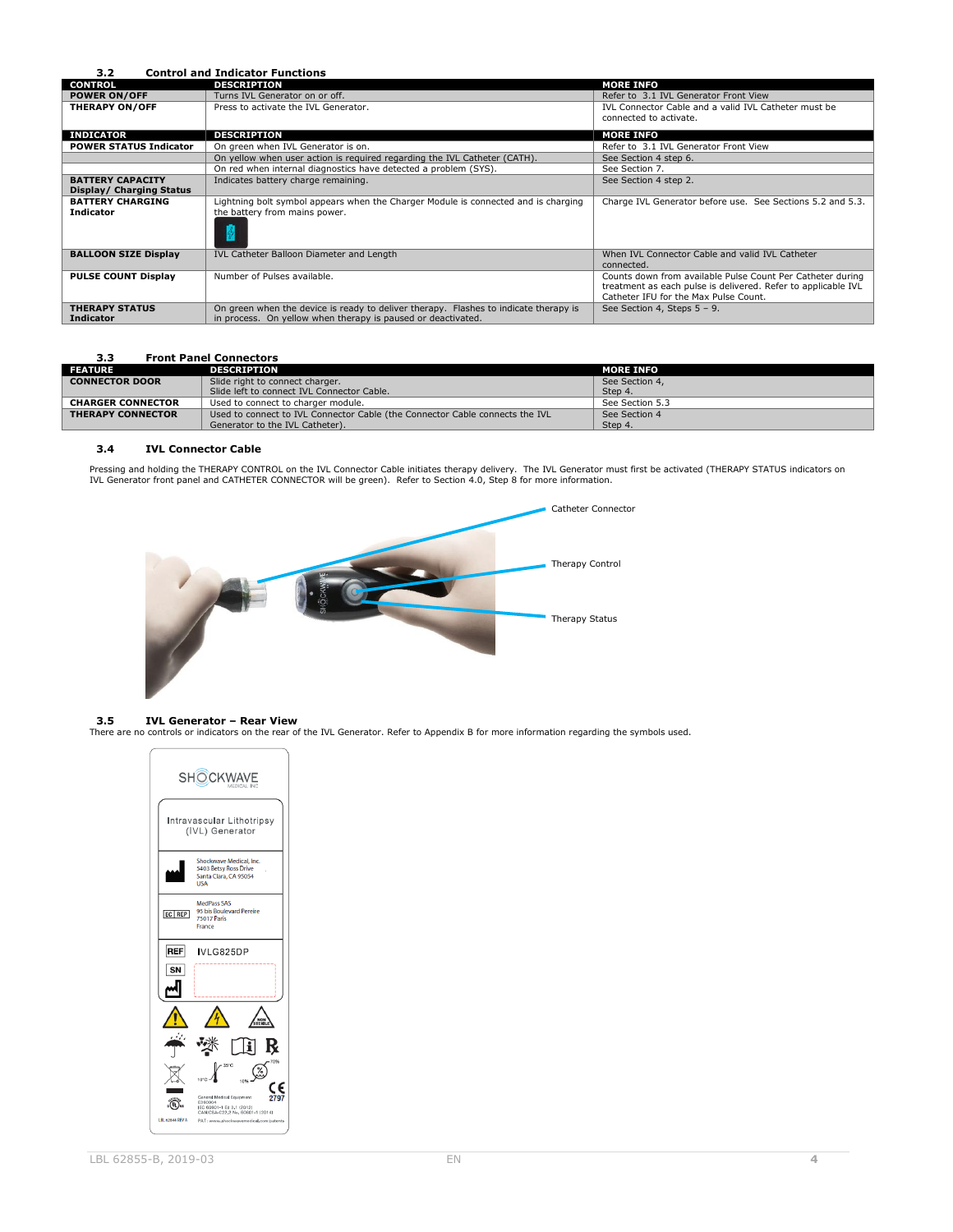### <span id="page-3-0"></span>**3.2 Control and Indicator Functions**

| <b>CONTROL</b>                                      | <b>DESCRIPTION</b>                                                                                                                                   | <b>MORE INFO</b>                                                                                                                                                     |
|-----------------------------------------------------|------------------------------------------------------------------------------------------------------------------------------------------------------|----------------------------------------------------------------------------------------------------------------------------------------------------------------------|
| <b>POWER ON/OFF</b>                                 | Turns IVL Generator on or off.                                                                                                                       | Refer to 3.1 IVL Generator Front View                                                                                                                                |
| <b>THERAPY ON/OFF</b>                               | Press to activate the IVL Generator.                                                                                                                 | IVL Connector Cable and a valid IVL Catheter must be<br>connected to activate.                                                                                       |
|                                                     |                                                                                                                                                      |                                                                                                                                                                      |
| <b>INDICATOR</b>                                    | <b>DESCRIPTION</b>                                                                                                                                   | <b>MORE INFO</b>                                                                                                                                                     |
| <b>POWER STATUS Indicator</b>                       | On green when IVL Generator is on.                                                                                                                   | Refer to 3.1 IVL Generator Front View                                                                                                                                |
|                                                     | On yellow when user action is required regarding the IVL Catheter (CATH).                                                                            | See Section 4 step 6.                                                                                                                                                |
|                                                     | On red when internal diagnostics have detected a problem (SYS).                                                                                      | See Section 7.                                                                                                                                                       |
| <b>BATTERY CAPACITY</b><br>Display/ Charging Status | Indicates battery charge remaining.                                                                                                                  | See Section 4 step 2.                                                                                                                                                |
| <b>BATTERY CHARGING</b><br><b>Indicator</b>         | Lightning bolt symbol appears when the Charger Module is connected and is charging<br>the battery from mains power.                                  | Charge IVL Generator before use. See Sections 5.2 and 5.3.                                                                                                           |
| <b>BALLOON SIZE Display</b>                         | IVL Catheter Balloon Diameter and Length                                                                                                             | When IVL Connector Cable and valid IVL Catheter<br>connected.                                                                                                        |
| <b>PULSE COUNT Display</b>                          | Number of Pulses available.                                                                                                                          | Counts down from available Pulse Count Per Catheter during<br>treatment as each pulse is delivered. Refer to applicable IVL<br>Catheter IFU for the Max Pulse Count. |
| <b>THERAPY STATUS</b><br><b>Indicator</b>           | On green when the device is ready to deliver therapy. Flashes to indicate therapy is<br>in process. On yellow when therapy is paused or deactivated. | See Section 4, Steps 5 - 9.                                                                                                                                          |

### <span id="page-3-1"></span>**3.3 Front Panel Connectors**

| <b>FEATURE</b>           | <b>DESCRIPTION</b>                                                           | <b>MORE INFO</b> |
|--------------------------|------------------------------------------------------------------------------|------------------|
| <b>CONNECTOR DOOR</b>    | Slide right to connect charger.                                              | See Section 4,   |
|                          | Slide left to connect IVL Connector Cable.                                   | Step 4.          |
| <b>CHARGER CONNECTOR</b> | Used to connect to charger module.                                           | See Section 5.3  |
| <b>THERAPY CONNECTOR</b> | Used to connect to IVL Connector Cable (the Connector Cable connects the IVL | See Section 4    |
|                          | Generator to the IVL Catheter).                                              | Step 4.          |

### <span id="page-3-2"></span>**3.4 IVL Connector Cable**

Pressing and holding the THERAPY CONTROL on the IVL Connector Cable initiates therapy delivery. The IVL Generator must first be activated (THERAPY STATUS indicators on<br>IVL Generator front panel and CATHETER CONNECTOR will



<span id="page-3-3"></span>**3.5 IVL Generator – Rear View** There are no controls or indicators on the rear of the IVL Generator. Refer to Appendix B for more information regarding the symbols used.

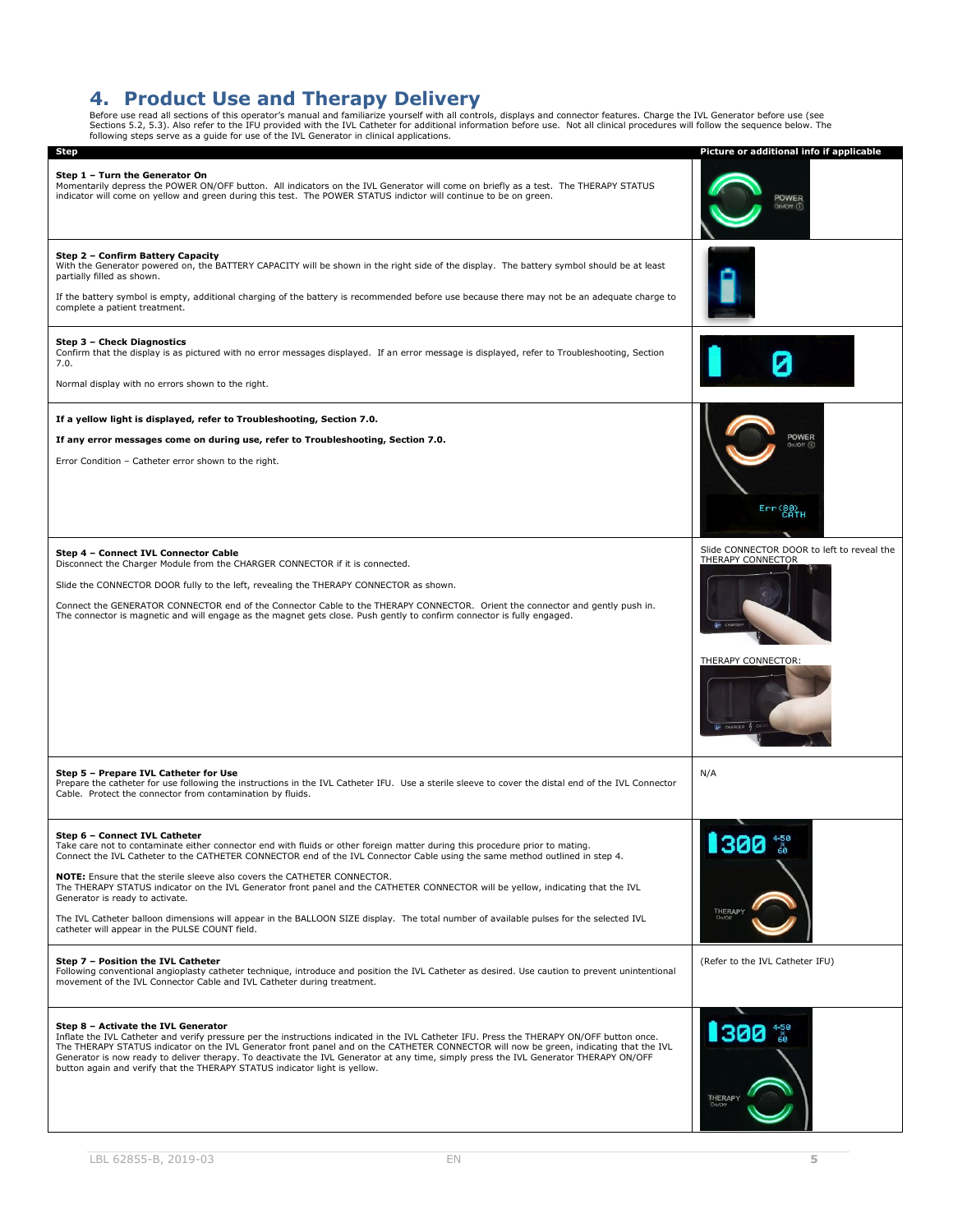<span id="page-4-0"></span>4. Product Use and Therapy Delivery<br>Before use read all sections of this operator's manual and familiarize yourself with all controls, displays and connector features. Charge the IVL Generator before use (see<br>Sections 5.2,

| <b>Step</b>                                                                                                                                                                                                                                                                                                                                                                                                                                                                                                                                                                                                                                                                                                                                                                                                                                                                                                                                                                                                    | Picture or additional info if applicable                                              |
|----------------------------------------------------------------------------------------------------------------------------------------------------------------------------------------------------------------------------------------------------------------------------------------------------------------------------------------------------------------------------------------------------------------------------------------------------------------------------------------------------------------------------------------------------------------------------------------------------------------------------------------------------------------------------------------------------------------------------------------------------------------------------------------------------------------------------------------------------------------------------------------------------------------------------------------------------------------------------------------------------------------|---------------------------------------------------------------------------------------|
| Step 1 - Turn the Generator On<br>Momentarily depress the POWER ON/OFF button. All indicators on the IVL Generator will come on briefly as a test. The THERAPY STATUS<br>indicator will come on yellow and green during this test. The POWER STATUS indictor will continue to be on green.                                                                                                                                                                                                                                                                                                                                                                                                                                                                                                                                                                                                                                                                                                                     | <b>POWER</b><br>On/Off (                                                              |
| Step 2 - Confirm Battery Capacity<br>With the Generator powered on, the BATTERY CAPACITY will be shown in the right side of the display. The battery symbol should be at least<br>partially filled as shown.<br>If the battery symbol is empty, additional charging of the battery is recommended before use because there may not be an adequate charge to<br>complete a patient treatment.                                                                                                                                                                                                                                                                                                                                                                                                                                                                                                                                                                                                                   |                                                                                       |
| Step 3 - Check Diagnostics<br>Confirm that the display is as pictured with no error messages displayed. If an error message is displayed, refer to Troubleshooting, Section<br>7.0.<br>Normal display with no errors shown to the right.                                                                                                                                                                                                                                                                                                                                                                                                                                                                                                                                                                                                                                                                                                                                                                       |                                                                                       |
| If a yellow light is displayed, refer to Troubleshooting, Section 7.0.<br>If any error messages come on during use, refer to Troubleshooting, Section 7.0.<br>Error Condition - Catheter error shown to the right.                                                                                                                                                                                                                                                                                                                                                                                                                                                                                                                                                                                                                                                                                                                                                                                             | POWER<br>On/Off CD<br>$Err(80)$ CATH                                                  |
| Step 4 - Connect IVL Connector Cable<br>Disconnect the Charger Module from the CHARGER CONNECTOR if it is connected.<br>Slide the CONNECTOR DOOR fully to the left, revealing the THERAPY CONNECTOR as shown.<br>Connect the GENERATOR CONNECTOR end of the Connector Cable to the THERAPY CONNECTOR. Orient the connector and gently push in.<br>The connector is magnetic and will engage as the magnet gets close. Push gently to confirm connector is fully engaged.                                                                                                                                                                                                                                                                                                                                                                                                                                                                                                                                       | Slide CONNECTOR DOOR to left to reveal the<br>THERAPY CONNECTOR<br>THERAPY CONNECTOR: |
| Step 5 - Prepare IVL Catheter for Use<br>Prepare the catheter for use following the instructions in the IVL Catheter IFU. Use a sterile sleeve to cover the distal end of the IVL Connector<br>Cable. Protect the connector from contamination by fluids.                                                                                                                                                                                                                                                                                                                                                                                                                                                                                                                                                                                                                                                                                                                                                      | N/A                                                                                   |
| Step 6 - Connect IVL Catheter<br>Take care not to contaminate either connector end with fluids or other foreign matter during this procedure prior to mating.<br>Connect the IVL Catheter to the CATHETER CONNECTOR end of the IVL Connector Cable using the same method outlined in step 4.<br>NOTE: Ensure that the sterile sleeve also covers the CATHETER CONNECTOR.<br>The THERAPY STATUS indicator on the IVL Generator front panel and the CATHETER CONNECTOR will be yellow, indicating that the IVL<br>Generator is ready to activate.<br>The IVL Catheter balloon dimensions will appear in the BALLOON SIZE display. The total number of available pulses for the selected IVL<br>catheter will appear in the PULSE COUNT field.<br>Step 7 - Position the IVL Catheter<br>Following conventional angioplasty catheter technique, introduce and position the IVL Catheter as desired. Use caution to prevent unintentional<br>movement of the IVL Connector Cable and IVL Catheter during treatment. | <b>1300</b><br>THERAP'<br>(Refer to the IVL Catheter IFU)                             |
| Step 8 - Activate the IVL Generator<br>Inflate the IVL Catheter and verify pressure per the instructions indicated in the IVL Catheter IFU. Press the THERAPY ON/OFF button once.<br>The THERAPY STATUS indicator on the IVL Generator front panel and on the CATHETER CONNECTOR will now be green, indicating that the IVL<br>Generator is now ready to deliver therapy. To deactivate the IVL Generator at any time, simply press the IVL Generator THERAPY ON/OFF<br>button again and verify that the THERAPY STATUS indicator light is yellow.                                                                                                                                                                                                                                                                                                                                                                                                                                                             | 1300<br><b>THERAPY</b>                                                                |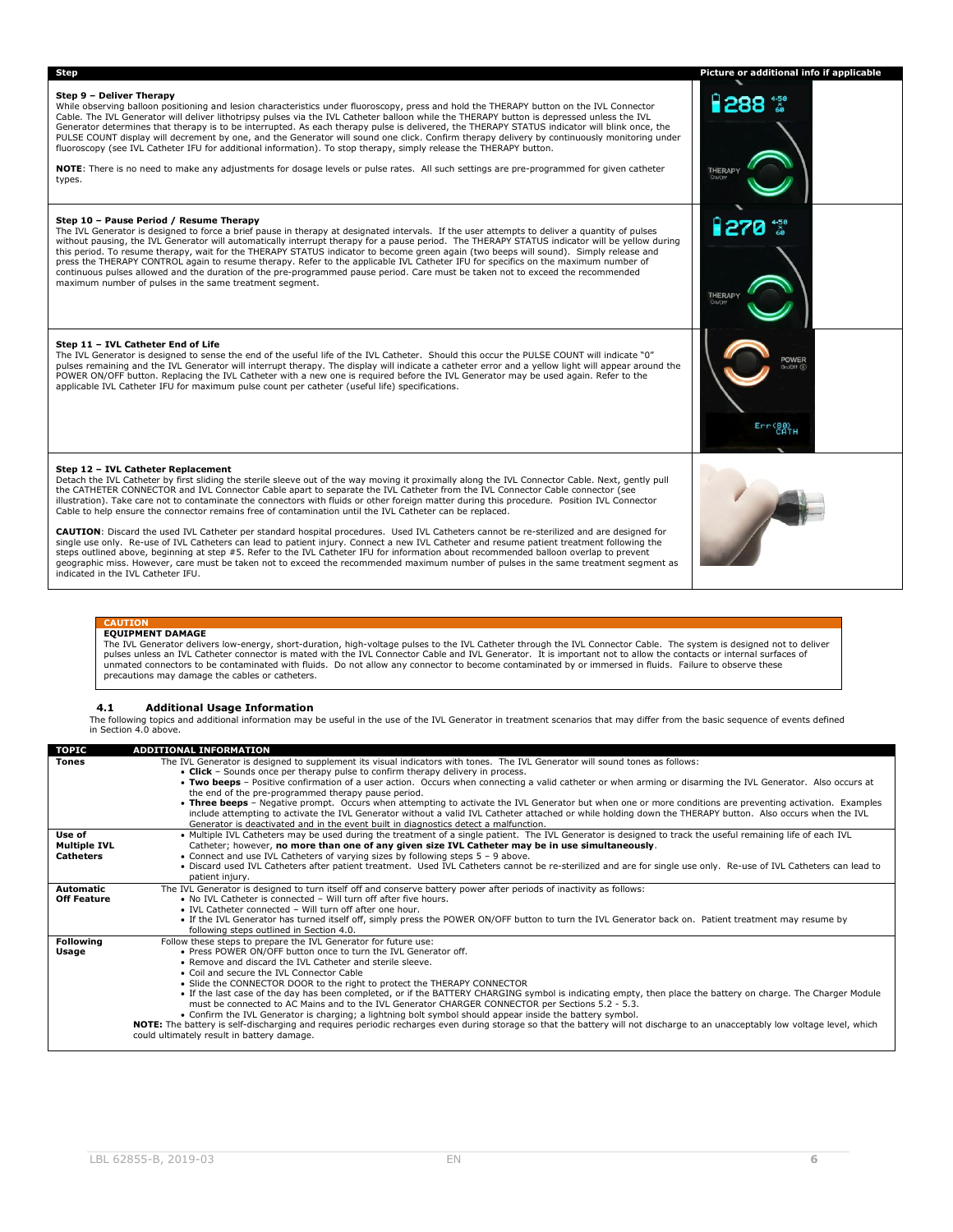# **Step Picture or additional info if applicable Step 9 – Deliver Therapy** ਜੈ288 "ੱ While observing balloon positioning and lesion characteristics under fluoroscopy, press and hold the THERAPY button on the IVL Connector Cable. The IVL Generator will deliver lithotripsy pulses via the IVL Catheter balloon while the THERAPY button is depressed unless the IVL<br>Generator determines that therapy is to be interrupted. As each therapy pulse is de PULSE COUNT display will decrement by one, and the Generator will sound one click. Confirm therapy delivery by continuously monitoring under<br>fluoroscopy (see IVL Catheter IFU for additional information). To stop therapy, s **NOTE**: There is no need to make any adjustments for dosage levels or pulse rates. All such settings are pre-programmed for given catheter types. **Step 10 – Pause Period / Resume Therapy** The IVL Generator is designed to force a brief pause in therapy at designated intervals. If the user attempts to deliver a quantity of pulses without pausing, the IVL Generator will automatically interrupt therapy for a pause period. The THERAPY STATUS indicator will be yellow during<br>this period. To resume therapy, wait for the THERAPY STATUS indicator to become maximum number of pulses in the same treatment segment. **Step 11 – IVL Catheter End of Life** The IVL Generator is designed to sense the end of the useful life of the IVL Catheter. Should this occur the PULSE COUNT will indicate "0" pulses remaining and the IVL Generator will interrupt therapy. The display will indicate a catheter error and a yellow light will appear around the POWER ON/OFF button. Replacing the IVL Catheter with a new one is required before the IVL Generator may be used again. Refer to the applicable IVL Catheter IFU for maximum pulse count per catheter (useful life) specifications. Err(80)<br>CATH **Step 12 – IVL Catheter Replacement** Detach the IVL Catheter by first sliding the sterile sleeve out of the way moving it proximally along the IVL Connector Cable. Next, gently pull the CATHETER CONNECTOR and IVL Connector Cable apart to separate the IVL Catheter from the IVL Connector Cable connector (see illustration). Take care not to contaminate the connectors with fluids or other foreign matter during this procedure. Position IVL Connector Cable to help ensure the connector remains free of contamination until the IVL Catheter can be replaced. **CAUTION:** Discard the used IVL Catheter per standard hospital procedures. Used IVL Catheters cannot be re-sterilized and are designed for<br>single use only. Re-use of IVL Catheters can lead to patient injury. Connect a new indicated in the IVL Catheter IFU.

#### **CAUTION EQUIPMENT DAMAGE**

The IVL Generator delivers low-energy, short-duration, high-voltage pulses to the IVL Catheter through the IVL Connector Cable. The system is designed not to deliver pulses unless an IVL Catheter connector is mated with the IVL Connector Cable and IVL Generator. It is important not to allow the contacts or internal surfaces of unmated connectors to be contaminated with fluids. Do not allow any connector to become contaminated by or immersed in fluids. Failure to observe these precautions may damage the cables or catheters.

#### <span id="page-5-0"></span>**4.1 Additional Usage Information**

The following topics and additional information may be useful in the use of the IVL Generator in treatment scenarios that may differ from the basic sequence of events defined in Section 4.0 above.

| <b>TOPIC</b>        | <b>ADDITIONAL INFORMATION</b>                                                                                                                                                |  |  |  |  |
|---------------------|------------------------------------------------------------------------------------------------------------------------------------------------------------------------------|--|--|--|--|
| <b>Tones</b>        | The IVL Generator is designed to supplement its visual indicators with tones. The IVL Generator will sound tones as follows:                                                 |  |  |  |  |
|                     | • Click - Sounds once per therapy pulse to confirm therapy delivery in process.                                                                                              |  |  |  |  |
|                     | . Two beeps - Positive confirmation of a user action. Occurs when connecting a valid catheter or when arming or disarming the IVL Generator. Also occurs at                  |  |  |  |  |
|                     | the end of the pre-programmed therapy pause period.                                                                                                                          |  |  |  |  |
|                     | • Three beeps - Negative prompt. Occurs when attempting to activate the IVL Generator but when one or more conditions are preventing activation. Examples                    |  |  |  |  |
|                     | include attempting to activate the IVL Generator without a valid IVL Catheter attached or while holding down the THERAPY button. Also occurs when the IVL                    |  |  |  |  |
|                     | Generator is deactivated and in the event built in diagnostics detect a malfunction.                                                                                         |  |  |  |  |
| Use of              | . Multiple IVL Catheters may be used during the treatment of a single patient. The IVL Generator is designed to track the useful remaining life of each IVL                  |  |  |  |  |
| <b>Multiple IVL</b> | Catheter; however, no more than one of any given size IVL Catheter may be in use simultaneously.                                                                             |  |  |  |  |
| <b>Catheters</b>    | • Connect and use IVL Catheters of varying sizes by following steps $5 - 9$ above.                                                                                           |  |  |  |  |
|                     | . Discard used IVL Catheters after patient treatment. Used IVL Catheters cannot be re-sterilized and are for single use only. Re-use of IVL Catheters can lead to            |  |  |  |  |
|                     | patient injury.                                                                                                                                                              |  |  |  |  |
| Automatic           | The IVL Generator is designed to turn itself off and conserve battery power after periods of inactivity as follows:                                                          |  |  |  |  |
| <b>Off Feature</b>  | . No IVL Catheter is connected - Will turn off after five hours.                                                                                                             |  |  |  |  |
|                     | • IVL Catheter connected - Will turn off after one hour.                                                                                                                     |  |  |  |  |
|                     | • If the IVL Generator has turned itself off, simply press the POWER ON/OFF button to turn the IVL Generator back on. Patient treatment may resume by                        |  |  |  |  |
|                     | following steps outlined in Section 4.0.                                                                                                                                     |  |  |  |  |
| <b>Following</b>    | Follow these steps to prepare the IVL Generator for future use:                                                                                                              |  |  |  |  |
| Usage               | . Press POWER ON/OFF button once to turn the IVL Generator off.                                                                                                              |  |  |  |  |
|                     | • Remove and discard the IVL Catheter and sterile sleeve.                                                                                                                    |  |  |  |  |
|                     | • Coil and secure the IVL Connector Cable                                                                                                                                    |  |  |  |  |
|                     | • Slide the CONNECTOR DOOR to the right to protect the THERAPY CONNECTOR                                                                                                     |  |  |  |  |
|                     | . If the last case of the day has been completed, or if the BATTERY CHARGING symbol is indicating empty, then place the battery on charge. The Charger Module                |  |  |  |  |
|                     | must be connected to AC Mains and to the IVL Generator CHARGER CONNECTOR per Sections 5.2 - 5.3.                                                                             |  |  |  |  |
|                     | • Confirm the IVL Generator is charging; a lightning bolt symbol should appear inside the battery symbol.                                                                    |  |  |  |  |
|                     | NOTE: The battery is self-discharging and requires periodic recharges even during storage so that the battery will not discharge to an unacceptably low voltage level, which |  |  |  |  |
|                     | could ultimately result in battery damage.                                                                                                                                   |  |  |  |  |
|                     |                                                                                                                                                                              |  |  |  |  |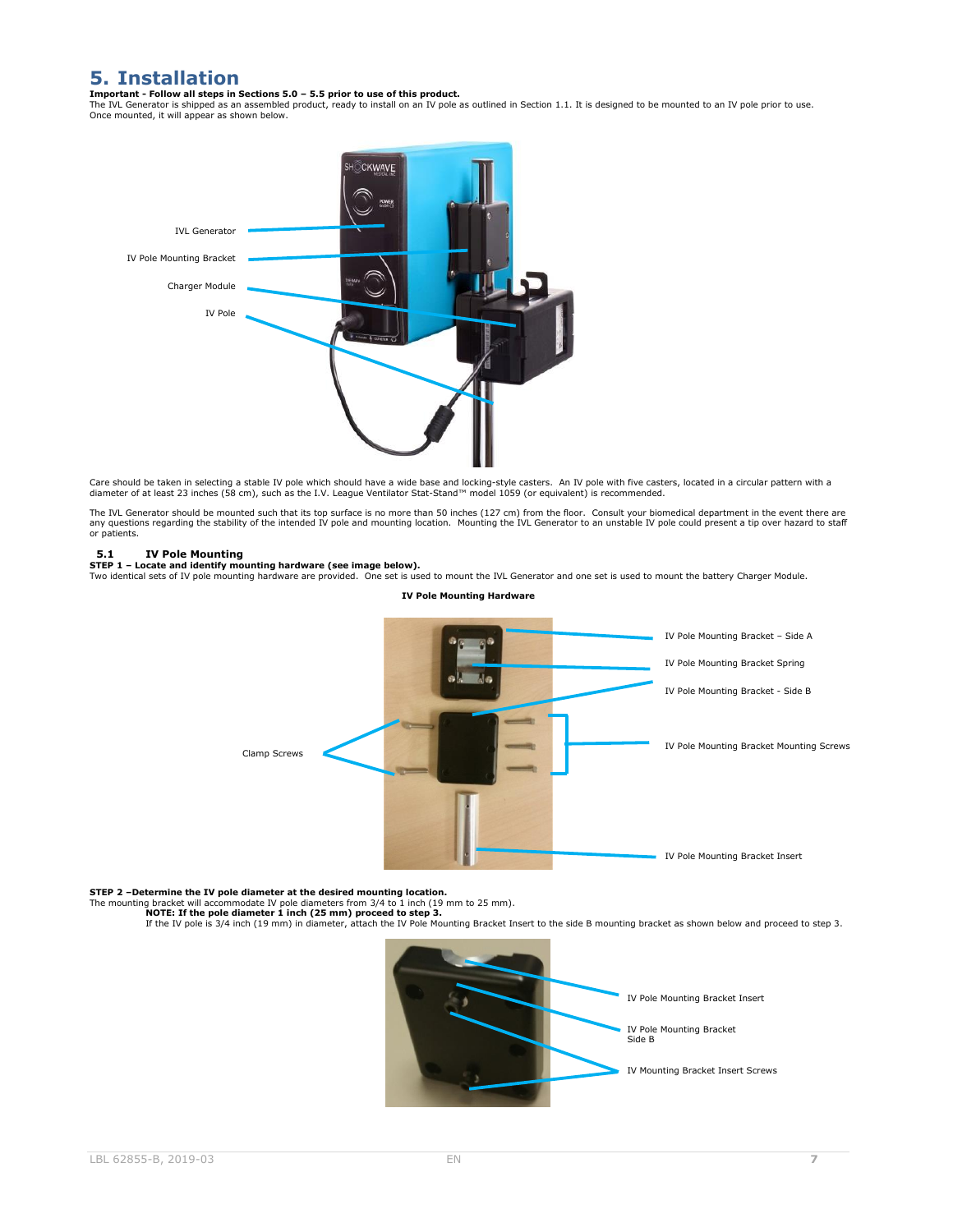# <span id="page-6-0"></span>**5. Installation**

#### **Important - Follow all steps in Sections 5.0 – 5.5 prior to use of this product.**

The IVL Generator is shipped as an assembled product, ready to install on an IV pole as outlined in Section 1.1. It is designed to be mounted to an IV pole prior to use. Once mounted, it will appear as shown below.



Care should be taken in selecting a stable IV pole which should have a wide base and locking-style casters. An IV pole with five casters, located in a circular pattern with a<br>diameter of at least 23 inches (58 cm), such a

The IVL Generator should be mounted such that its top surface is no more than 50 inches (127 cm) from the floor. Consult your biomedical department in the event there are<br>any questions regarding the stability of the intend or patients.

### <span id="page-6-1"></span>**5.1 IV Pole Mounting**

**STEP 1 – Locate and identify mounting hardware (see image below).**<br>Two identical sets of IV pole mounting hardware are provided. One set is used to mount the IVL Generator and one set is used to mount the battery Charger



**IV Pole Mounting Hardware**

**STEP 2 –Determine the IV pole diameter at the desired mounting location.**

The mounting bracket will accommodate IV pole diameters from 3/4 to 1 inch (19 mm to 25 mm).<br>• **NOTE: If the pole diameter 1 inch (25 mm) proceed to step 3.**<br>If the IV pole is 3/4 inch (19 mm) in diameter, attach the IV Po

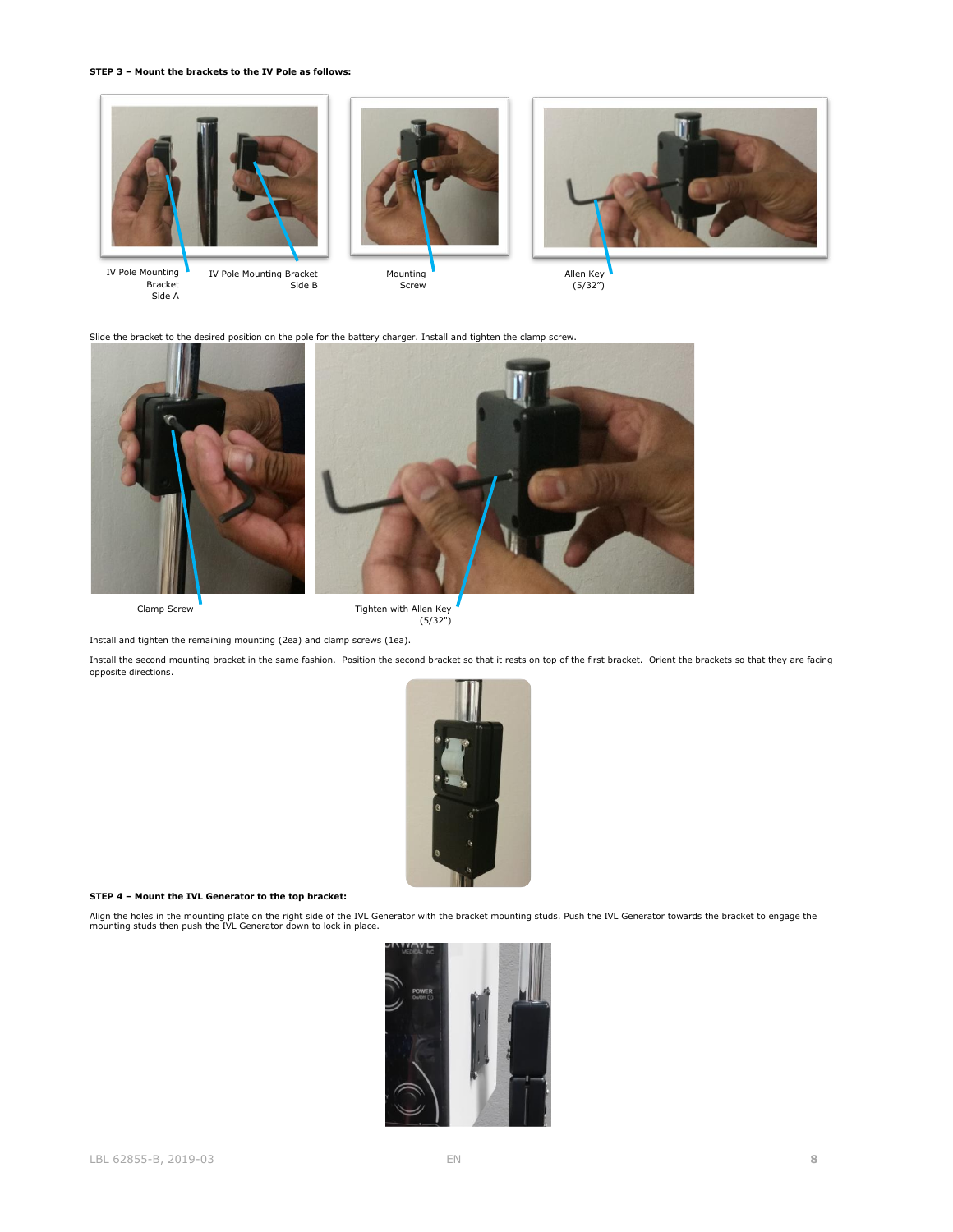#### **STEP 3 – Mount the brackets to the IV Pole as follows:**



IV Pole Mounting Bracket Side A

IV Pole Mounting Bracket Side B

Mounting Screw



Slide the bracket to the desired position on the pole for the battery charger. Install and tighten the clamp screw.



Clamp Screw **Tighten with Allen Key** (5/32")

Install and tighten the remaining mounting (2ea) and clamp screws (1ea).

Install the second mounting bracket in the same fashion. Position the second bracket so that it rests on top of the first bracket. Orient the brackets so that they are facing opposite directions.



#### **STEP 4 – Mount the IVL Generator to the top bracket:**

Align the holes in the mounting plate on the right side of the IVL Generator with the bracket mounting studs. Push the IVL Generator towards the bracket to engage the<br>mounting studs then push the IVL Generator down to lock

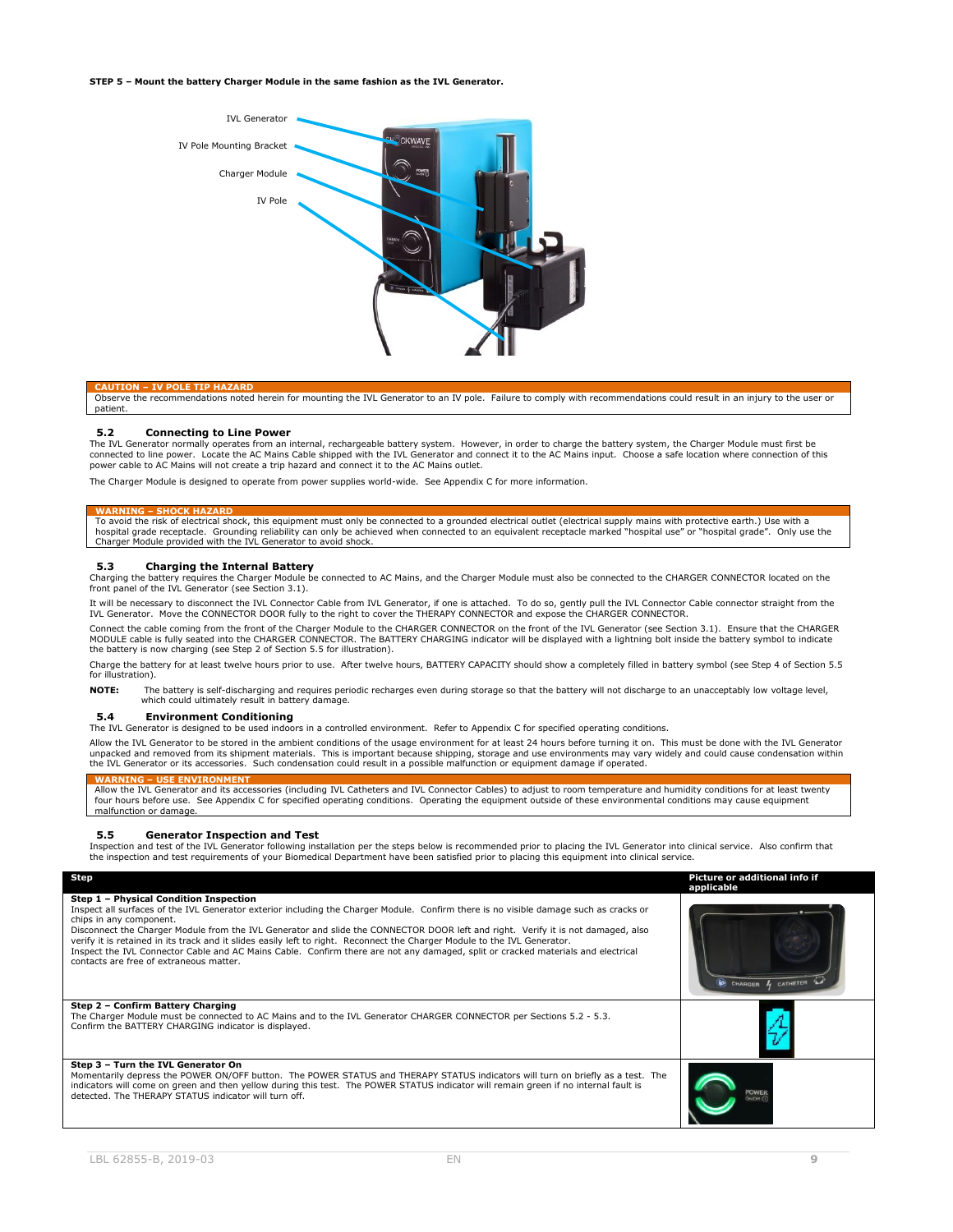**STEP 5 – Mount the battery Charger Module in the same fashion as the IVL Generator.**



**CAUTION – IV POLE TIP HAZARD** Observe the recommendations noted herein for mounting the IVL Generator to an IV pole. Failure to comply with recommendations could result in an injury to the user or patient.

#### <span id="page-8-0"></span>**5.2 Connecting to Line Power**

The IVL Generator normally operates from an internal, rechargeable battery system. However, in order to charge the battery system, the Charger Module must first be connected to line power. Locate the AC Mains Cable shipped with the IVL Generator and connect it to the AC Mains input. Choose a safe location where connection of this power cable to AC Mains will not create a trip hazard and connect it to the AC Mains outlet.

The Charger Module is designed to operate from power supplies world-wide. See Appendix C for more information.

WARNING – SHOCK HAZARD<br>To avoid the risk of electrical shock, this equipment must only be connected to a grounded electrical outlet (electrical supply mains with protective earth.) Use with a<br>hospital grade receptacle. Gro

#### <span id="page-8-1"></span>**5.3 Charging the Internal Battery**

Charging the battery requires the Charger Module be connected to AC Mains, and the Charger Module must also be connected to the CHARGER CONNECTOR located on the front panel of the IVL Generator (see Section 3.1).

It will be necessary to disconnect the IVL Connector Cable from IVL Generator, if one is attached. To do so, gently pull the IVL Connector Cable connector straight from the<br>IVL Generator. Move the CONNECTOR DOOR fully to t

Connect the cable coming from the front of the Charger Module to the CHARGER CONNECTOR on the front of the IVL Generator (see Section 3.1). Ensure that the CHARGER MODULE cable is fully seated into the CHARGER CONNECTOR. The BATTERY CHARGING indicator will be displayed with a lightning bolt inside the battery symbol to indicate the battery is now charging (see Step 2 of Section 5.5 for illustration).

Charge the battery for at least twelve hours prior to use. After twelve hours, BATTERY CAPACITY should show a completely filled in battery symbol (see Step 4 of Section 5.5 for illustration).

**NOTE:** The battery is self-discharging and requires periodic recharges even during storage so that the battery will not discharge to an unacceptably low voltage level, which could ultimately result in battery damage.

### <span id="page-8-2"></span>**5.4 Environment Conditioning**

The IVL Generator is designed to be used indoors in a controlled environment. Refer to Appendix C for specified operating conditions.

Allow the IVL Generator to be stored in the ambient conditions of the usage environment for at least 24 hours before turning it on. This must be done with the IVL Generator unpacked and removed from its shipment materials. This is important because shipping, storage and use environments may vary widely and could cause condensation within<br>the IVL Generator or its accessories. Such condensation

#### **WARNING – USE ENVIRONMENT**

Allow the IVL Generator and its accessories (including IVL Catheters and IVL Connector Cables) to adjust to room temperature and humidity conditions for at least twenty four hours before use. See Appendix C for specified operating conditions. Operating the equipment outside of these environmental conditions may cause equipment malfunction or damage.

#### <span id="page-8-3"></span>**5.5 Generator Inspection and Test**

Inspection and test of the IVL Generator following installation per the steps below is recommended prior to placing the IVL Generator into clinical service. Also confirm that the inspection and test requirements of your Biomedical Department have been satisfied prior to placing this equipment into clinical service.

| Step                                                                                                                                                                                                                                                                                                                                                                                                                                                                                                                                                                                                                                                       | Picture or additional info if<br>applicable |
|------------------------------------------------------------------------------------------------------------------------------------------------------------------------------------------------------------------------------------------------------------------------------------------------------------------------------------------------------------------------------------------------------------------------------------------------------------------------------------------------------------------------------------------------------------------------------------------------------------------------------------------------------------|---------------------------------------------|
| Step 1 - Physical Condition Inspection<br>Inspect all surfaces of the IVL Generator exterior including the Charger Module. Confirm there is no visible damage such as cracks or<br>chips in any component.<br>Disconnect the Charger Module from the IVL Generator and slide the CONNECTOR DOOR left and right. Verify it is not damaged, also<br>verify it is retained in its track and it slides easily left to right. Reconnect the Charger Module to the IVL Generator.<br>Inspect the IVL Connector Cable and AC Mains Cable. Confirm there are not any damaged, split or cracked materials and electrical<br>contacts are free of extraneous matter. | CHARGER 4 CATHETER                          |
| Step 2 - Confirm Battery Charging<br>The Charger Module must be connected to AC Mains and to the IVL Generator CHARGER CONNECTOR per Sections 5.2 - 5.3.<br>Confirm the BATTERY CHARGING indicator is displayed.                                                                                                                                                                                                                                                                                                                                                                                                                                           |                                             |
| Step 3 - Turn the IVL Generator On<br>Momentarily depress the POWER ON/OFF button. The POWER STATUS and THERAPY STATUS indicators will turn on briefly as a test. The<br>indicators will come on green and then yellow during this test. The POWER STATUS indicator will remain green if no internal fault is<br>detected. The THERAPY STATUS indicator will turn off.                                                                                                                                                                                                                                                                                     | <b>POWEE</b>                                |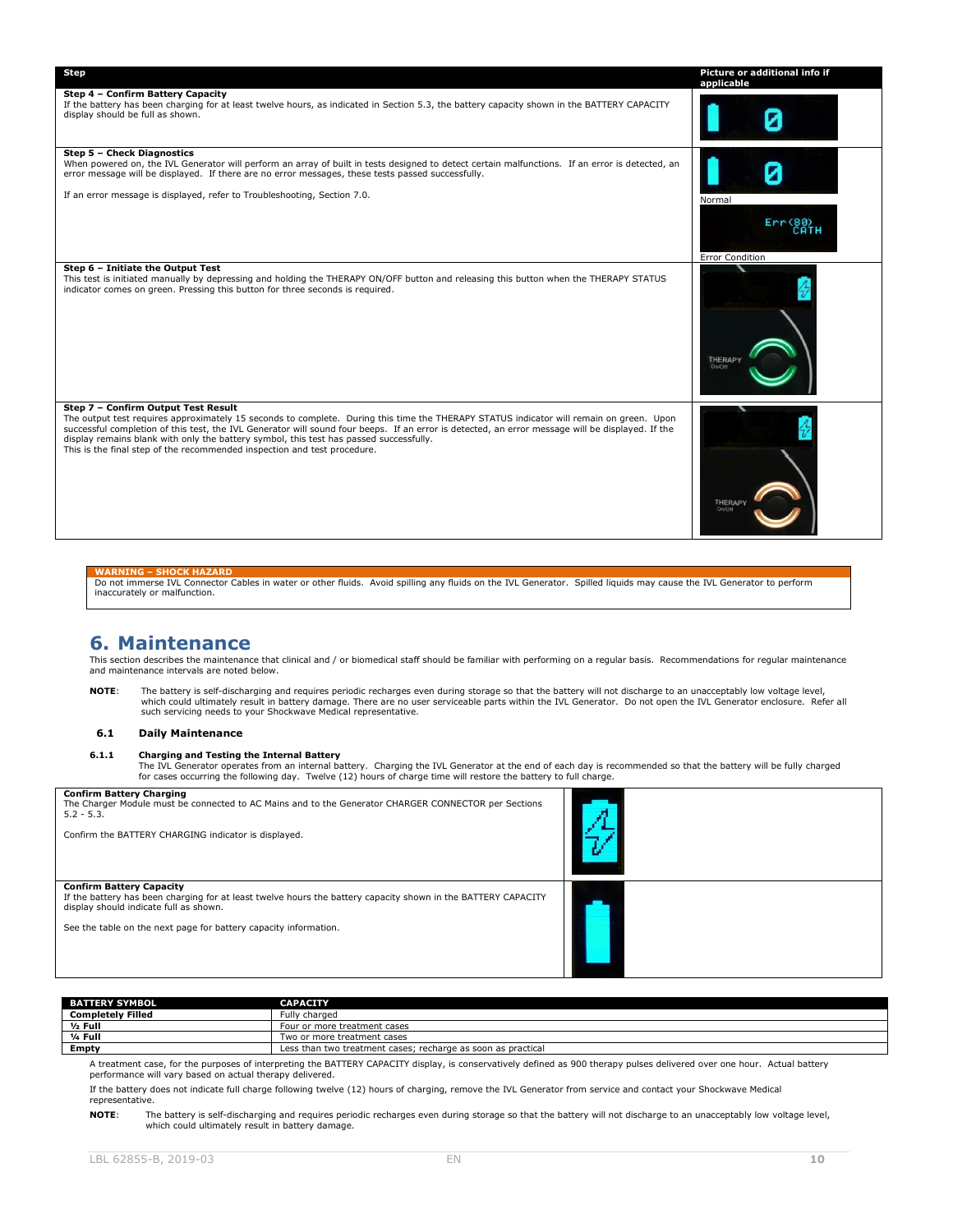| <b>Step</b>                                                                                                                                                                                                                                                                                                                                                                                                                                                                                              | Picture or additional info if<br>applicable |
|----------------------------------------------------------------------------------------------------------------------------------------------------------------------------------------------------------------------------------------------------------------------------------------------------------------------------------------------------------------------------------------------------------------------------------------------------------------------------------------------------------|---------------------------------------------|
| Step 4 - Confirm Battery Capacity<br>If the battery has been charging for at least twelve hours, as indicated in Section 5.3, the battery capacity shown in the BATTERY CAPACITY<br>display should be full as shown.                                                                                                                                                                                                                                                                                     |                                             |
| Step 5 - Check Diagnostics<br>When powered on, the IVL Generator will perform an array of built in tests designed to detect certain malfunctions. If an error is detected, an<br>error message will be displayed. If there are no error messages, these tests passed successfully.<br>If an error message is displayed, refer to Troubleshooting, Section 7.0.                                                                                                                                           | Normal<br><b>Error Condition</b>            |
| Step 6 - Initiate the Output Test<br>This test is initiated manually by depressing and holding the THERAPY ON/OFF button and releasing this button when the THERAPY STATUS<br>indicator comes on green. Pressing this button for three seconds is required.                                                                                                                                                                                                                                              | <b>THERAPY</b><br><b>On/Off</b>             |
| Step 7 - Confirm Output Test Result<br>The output test requires approximately 15 seconds to complete. During this time the THERAPY STATUS indicator will remain on green. Upon<br>successful completion of this test, the IVL Generator will sound four beeps. If an error is detected, an error message will be displayed. If the<br>display remains blank with only the battery symbol, this test has passed successfully.<br>This is the final step of the recommended inspection and test procedure. | <b>THERAPY</b><br>On/Off                    |

**WARNING – SHOCK HAZARD** Do not immerse IVL Connector Cables in water or other fluids. Avoid spilling any fluids on the IVL Generator. Spilled liquids may cause the IVL Generator to perform inaccurately or malfunction.

### <span id="page-9-0"></span>**6. Maintenance**

This section describes the maintenance that clinical and / or biomedical staff should be familiar with performing on a regular basis. Recommendations for regular maintenance and maintenance intervals are noted below.

**NOTE**: The battery is self-discharging and requires periodic recharges even during storage so that the battery will not discharge to an unacceptably low voltage level, which could ultimately result in battery damage. There are no user serviceable parts within the IVL Generator. Do not open the IVL Generator enclosure. Refer all<br>such servicing needs to your Shockwave Medical representativ

#### <span id="page-9-1"></span>**6.1 Daily Maintenance**

<span id="page-9-2"></span>**6.1.1 Charging and Testing the Internal Battery**<br>The IVL Generator operates from an internal battery. Charging the IVL Generator at the end of each day is recommended so that the battery will be fully charged<br>for cases oc

| <b>Confirm Battery Charging</b><br>The Charger Module must be connected to AC Mains and to the Generator CHARGER CONNECTOR per Sections<br>$5.2 - 5.3.$<br>Confirm the BATTERY CHARGING indicator is displayed. |  |
|-----------------------------------------------------------------------------------------------------------------------------------------------------------------------------------------------------------------|--|
| <b>Confirm Battery Capacity</b><br>If the battery has been charging for at least twelve hours the battery capacity shown in the BATTERY CAPACITY<br>display should indicate full as shown.                      |  |
| See the table on the next page for battery capacity information.                                                                                                                                                |  |

| <b>BATTERY SYMBOL</b>    | <b>CAPACITY</b>                                              |
|--------------------------|--------------------------------------------------------------|
| <b>Completely Filled</b> | Fully charged                                                |
| $1/2$ Full               | Four or more treatment cases                                 |
| 1/ <sub>4</sub> Full     | Two or more treatment cases                                  |
| <b>Empty</b>             | Less than two treatment cases; recharge as soon as practical |

A treatment case, for the purposes of interpreting the BATTERY CAPACITY display, is conservatively defined as 900 therapy pulses delivered over one hour. Actual battery performance will vary based on actual therapy delivered.

If the battery does not indicate full charge following twelve (12) hours of charging, remove the IVL Generator from service and contact your Shockwave Medical representative.

**NOTE**: The battery is self-discharging and requires periodic recharges even during storage so that the battery will not discharge to an unacceptably low voltage level, which could ultimately result in battery damage.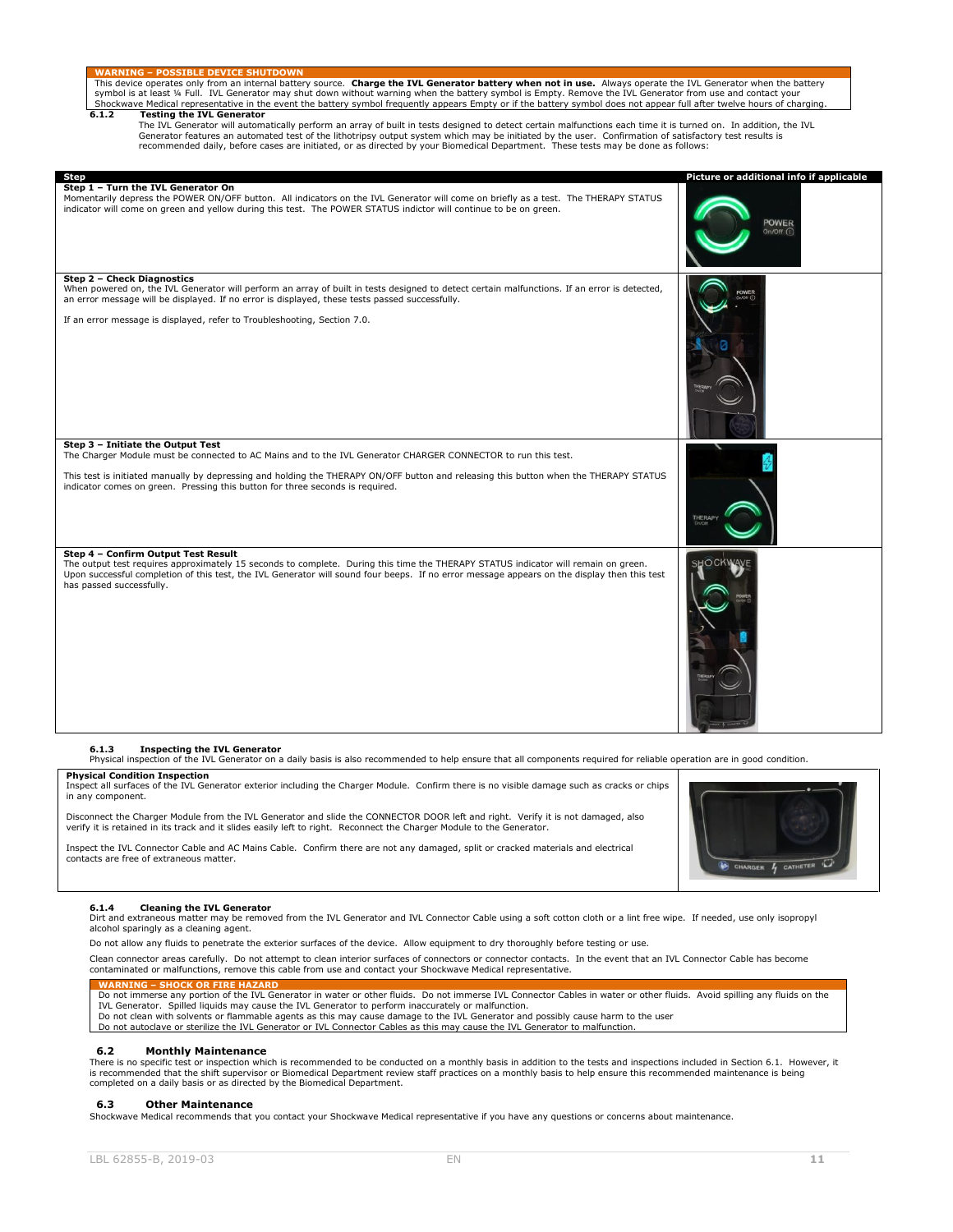<span id="page-10-0"></span>symbol is at least ¼ Full. IVL Generator may shut down without warning when the battery symbol is Empty. Remove the IVL Generator from use and contact your Shockwave Medical representative in the event the battery symbol frequently appears Empty or if the battery symbol does not appear full after twelve hours of charging. **6.1.2 Testing the IVL Generator** The IVL Generator will automatically perform an array of built in tests designed to detect certain malfunctions each time it is turned on. In addition, the IVL Generator features an automated test of the lithotripsy output system which may be initiated by the user. Confirmation of satisfactory test results is recommended daily, before cases are initiated, or as directed by your Biomedical Department. These tests may be done as follows: **Step Picture or additional info if applicable Step 1 – Turn the IVL Generator On** Momentarily depress the POWER ON/OFF button. All indicators on the IVL Generator will come on briefly as a test. The THERAPY STATUS indicator will come on green and yellow during this test. The POWER STATUS indictor will continue to be on green. POWER **Step 2 – Check Diagnostics** When powered on, the IVL Generator will perform an array of built in tests designed to detect certain malfunctions. If an error is detected,<br>an error message will be displayed. If no error is displayed, these tests passed If an error message is displayed, refer to Troubleshooting, Section 7.0. **Step 3 – Initiate the Output Test** The Charger Module must be connected to AC Mains and to the IVL Generator CHARGER CONNECTOR to run this test. This test is initiated manually by depressing and holding the THERAPY ON/OFF button and releasing this button when the THERAPY STATUS indicator comes on green. Pressing this button for three seconds is required. **Step 4 – Confirm Output Test Result** The output test requires approximately 15 seconds to complete. During this time the THERAPY STATUS indicator will remain on green. Upon successful completion of this test, the IVL Generator will sound four beeps. If no error message appears on the display then this test has passed successfully. **6.1.3 Inspecting the IVL Generator** Physical inspection of the IVL Generator on a daily basis is also recommended to help ensure that all components required for reliable operation are in good condition.

**WARNING – POSSIBLE DEVICE SHUTDOWN** This device operates only from an internal battery source. **Charge the IVL Generator battery when not in use.** Always operate the IVL Generator when the battery

#### <span id="page-10-1"></span>**Physical Condition Inspection**

Inspect all surfaces of the IVL Generator exterior including the Charger Module. Confirm there is no visible damage such as cracks or chips in any component.

Disconnect the Charger Module from the IVL Generator and slide the CONNECTOR DOOR left and right. Verify it is not damaged, also verify it is retained in its track and it slides easily left to right. Reconnect the Charger Module to the Generator.

Inspect the IVL Connector Cable and AC Mains Cable. Confirm there are not any damaged, split or cracked materials and electrical contacts are free of extraneous matter.

#### <span id="page-10-2"></span>**6.1.4 Cleaning the IVL Generator**

Dirt and extraneous matter may be removed from the IVL Generator and IVL Connector Cable using a soft cotton cloth or a lint free wipe. If needed, use only isopropyl alcohol sparingly as a cleaning agent.

Do not allow any fluids to penetrate the exterior surfaces of the device. Allow equipment to dry thoroughly before testing or use.

Clean connector areas carefully. Do not attempt to clean interior surfaces of connectors or connector contacts. In the event that an IVL Connector Cable has become<br>contaminated or malfunctions, remove this cable from use a

#### **WARNING – SHOCK OR FIRE HAZARD**

Do not immerse any portion of the IVL Generator in water or other fluids. Do not immerse IVL Connector Cables in water or other fluids. Avoid spilling any fluids on the IVL Generator. Spilled liquids may cause the IVL Generator to perform inaccurately or malfunction.

- Do not clean with solvents or flammable agents as this may cause damage to the IVL Generator and possibly cause harm to the user
- Do not autoclave or sterilize the IVL Generator or IVL Connector Cables as this may cause the IVL Generator to malfunction.

#### <span id="page-10-3"></span>**6.2 Monthly Maintenance**

There is no specific test or inspection which is recommended to be conducted on a monthly basis in addition to the tests and inspections included in Section 6.1. However, it<br>is recommended that the shift supervisor or Biom completed on a daily basis or as directed by the Biomedical Department.

#### <span id="page-10-4"></span>**6.3 Other Maintenance**

Shockwave Medical recommends that you contact your Shockwave Medical representative if you have any questions or concerns about maintenance.

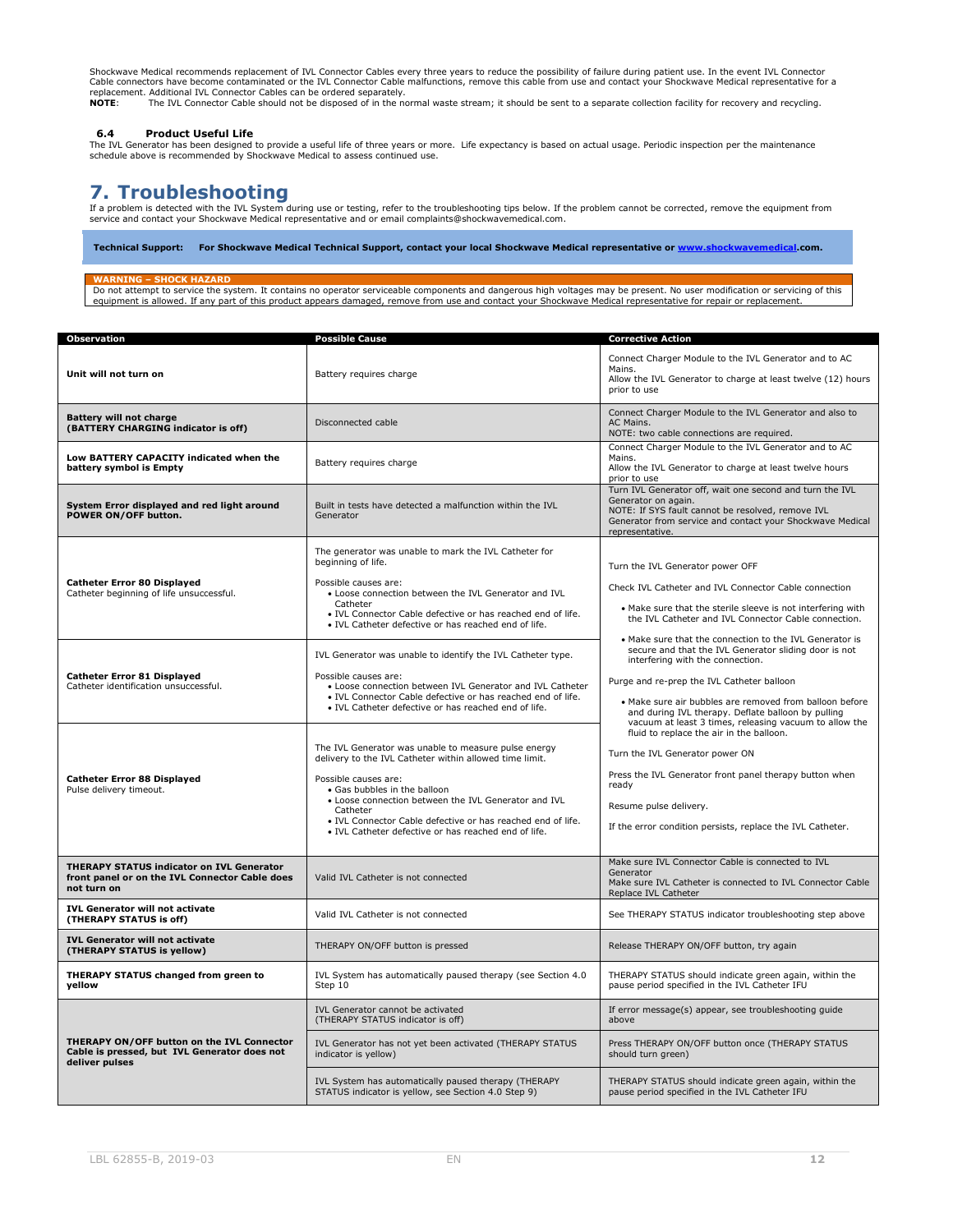Shockwave Medical recommends replacement of IVL Connector Cables every three years to reduce the possibility of failure during patient use. In the event IVL Connector<br>Cable connectors have become contaminated or the IVL Co replacement. Additional IVL Connector Cables can be ordered separately.<br>NOTE: The IVL Connector Cable should not be disposed of in the normal waste stream; it should be sent to a separate collection facility for recovery a

<span id="page-11-0"></span>6.4 Product Useful Life<br>The IVL Generator has been designed to provide a useful life of three years or more. Life expectancy is based on actual usage. Periodic inspection per the maintenance<br>schedule above is recommended b

# <span id="page-11-1"></span>**7. Troubleshooting**

If a problem is detected with the IVL System during use or testing, refer to the troubleshooting tips below. If the problem cannot be corrected, remove the equipment from<br>service and contact your Shockwave Medical represen

**Technical Support: For Shockwave Medical Technical Support, contact your local Shockwave Medical representative o[r www.shockwavemedical.](http://www.shockwavemedical/)com.**

#### **WARNING – SHOCK HAZARD**

Do not attempt to service the system. It contains no operator serviceable components and dangerous high voltages may be present. No user modification or servicing of this equipment is allowed. If any part of this product appears damaged, remove from use and contact your Shockwave Medical representative for repair or replacement.

| Observation                                                                                                       | <b>Possible Cause</b>                                                                                                                                                                                                                                                                                                                                              | <b>Corrective Action</b>                                                                                                                                                                                                                                                                                                                                                      |
|-------------------------------------------------------------------------------------------------------------------|--------------------------------------------------------------------------------------------------------------------------------------------------------------------------------------------------------------------------------------------------------------------------------------------------------------------------------------------------------------------|-------------------------------------------------------------------------------------------------------------------------------------------------------------------------------------------------------------------------------------------------------------------------------------------------------------------------------------------------------------------------------|
| Unit will not turn on                                                                                             | Battery requires charge                                                                                                                                                                                                                                                                                                                                            | Connect Charger Module to the IVL Generator and to AC<br>Mains.<br>Allow the IVL Generator to charge at least twelve (12) hours<br>prior to use                                                                                                                                                                                                                               |
| <b>Battery will not charge</b><br>(BATTERY CHARGING indicator is off)                                             | Disconnected cable                                                                                                                                                                                                                                                                                                                                                 | Connect Charger Module to the IVL Generator and also to<br>AC Mains.<br>NOTE: two cable connections are required.                                                                                                                                                                                                                                                             |
| Low BATTERY CAPACITY indicated when the<br>battery symbol is Empty                                                | Battery requires charge                                                                                                                                                                                                                                                                                                                                            | Connect Charger Module to the IVL Generator and to AC<br>Mains.<br>Allow the IVL Generator to charge at least twelve hours<br>prior to use                                                                                                                                                                                                                                    |
| System Error displayed and red light around<br>POWER ON/OFF button.                                               | Built in tests have detected a malfunction within the IVL<br>Generator                                                                                                                                                                                                                                                                                             | Turn IVL Generator off, wait one second and turn the IVL<br>Generator on again.<br>NOTE: If SYS fault cannot be resolved, remove IVL<br>Generator from service and contact your Shockwave Medical<br>representative.                                                                                                                                                          |
|                                                                                                                   | The generator was unable to mark the IVL Catheter for<br>beginning of life.                                                                                                                                                                                                                                                                                        | Turn the IVL Generator power OFF                                                                                                                                                                                                                                                                                                                                              |
| <b>Catheter Error 80 Displayed</b><br>Catheter beginning of life unsuccessful.                                    | Possible causes are:<br>. Loose connection between the IVL Generator and IVL<br>Catheter<br>· IVL Connector Cable defective or has reached end of life.<br>. IVL Catheter defective or has reached end of life.                                                                                                                                                    | Check IVL Catheter and IVL Connector Cable connection<br>. Make sure that the sterile sleeve is not interfering with<br>the IVL Catheter and IVL Connector Cable connection.                                                                                                                                                                                                  |
| <b>Catheter Error 81 Displayed</b><br>Catheter identification unsuccessful.                                       | IVL Generator was unable to identify the IVL Catheter type.<br>Possible causes are:<br>• Loose connection between IVL Generator and IVL Catheter<br>. IVL Connector Cable defective or has reached end of life.<br>. IVL Catheter defective or has reached end of life.                                                                                            | • Make sure that the connection to the IVL Generator is<br>secure and that the IVL Generator sliding door is not<br>interfering with the connection.<br>Purge and re-prep the IVL Catheter balloon<br>• Make sure air bubbles are removed from balloon before<br>and during IVL therapy. Deflate balloon by pulling<br>vacuum at least 3 times, releasing vacuum to allow the |
| <b>Catheter Error 88 Displayed</b><br>Pulse delivery timeout.                                                     | The IVL Generator was unable to measure pulse energy<br>delivery to the IVL Catheter within allowed time limit.<br>Possible causes are:<br>• Gas bubbles in the balloon<br>. Loose connection between the IVL Generator and IVL<br>Catheter<br>. IVL Connector Cable defective or has reached end of life.<br>. IVL Catheter defective or has reached end of life. | fluid to replace the air in the balloon.<br>Turn the IVL Generator power ON<br>Press the IVL Generator front panel therapy button when<br>ready<br>Resume pulse delivery.<br>If the error condition persists, replace the IVL Catheter.                                                                                                                                       |
| <b>THERAPY STATUS indicator on IVL Generator</b><br>front panel or on the IVL Connector Cable does<br>not turn on | Valid IVL Catheter is not connected                                                                                                                                                                                                                                                                                                                                | Make sure IVL Connector Cable is connected to IVL<br>Generator<br>Make sure IVL Catheter is connected to IVL Connector Cable<br>Replace IVL Catheter                                                                                                                                                                                                                          |
| <b>IVL Generator will not activate</b><br>(THERAPY STATUS is off)                                                 | Valid IVL Catheter is not connected                                                                                                                                                                                                                                                                                                                                | See THERAPY STATUS indicator troubleshooting step above                                                                                                                                                                                                                                                                                                                       |
| IVL Generator will not activate<br>(THERAPY STATUS is yellow)                                                     | THERAPY ON/OFF button is pressed                                                                                                                                                                                                                                                                                                                                   | Release THERAPY ON/OFF button, try again                                                                                                                                                                                                                                                                                                                                      |
| THERAPY STATUS changed from green to<br>vellow                                                                    | IVL System has automatically paused therapy (see Section 4.0<br>Step 10                                                                                                                                                                                                                                                                                            | THERAPY STATUS should indicate green again, within the<br>pause period specified in the IVL Catheter IFU                                                                                                                                                                                                                                                                      |
|                                                                                                                   | IVL Generator cannot be activated<br>(THERAPY STATUS indicator is off)                                                                                                                                                                                                                                                                                             | If error message(s) appear, see troubleshooting guide<br>above                                                                                                                                                                                                                                                                                                                |
| THERAPY ON/OFF button on the IVL Connector<br>Cable is pressed, but IVL Generator does not<br>deliver pulses      | IVL Generator has not yet been activated (THERAPY STATUS<br>indicator is yellow)                                                                                                                                                                                                                                                                                   | Press THERAPY ON/OFF button once (THERAPY STATUS<br>should turn green)                                                                                                                                                                                                                                                                                                        |
|                                                                                                                   | IVL System has automatically paused therapy (THERAPY<br>STATUS indicator is yellow, see Section 4.0 Step 9)                                                                                                                                                                                                                                                        | THERAPY STATUS should indicate green again, within the<br>pause period specified in the IVL Catheter IFU                                                                                                                                                                                                                                                                      |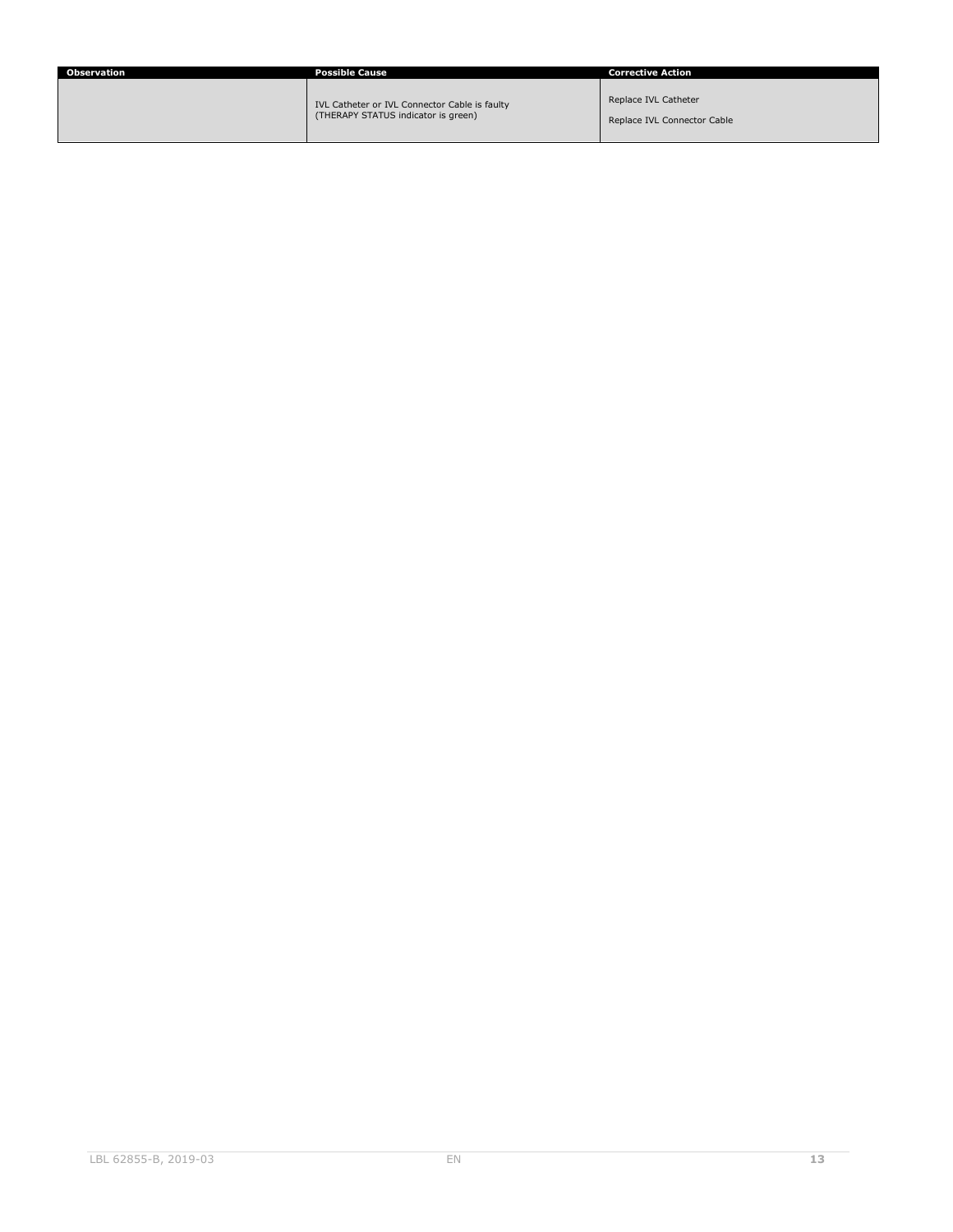| Observation | <b>Possible Cause</b>                                                                | <b>Corrective Action</b>                            |
|-------------|--------------------------------------------------------------------------------------|-----------------------------------------------------|
|             | IVL Catheter or IVL Connector Cable is faulty<br>(THERAPY STATUS indicator is green) | Replace IVL Catheter<br>Replace IVL Connector Cable |
|             |                                                                                      |                                                     |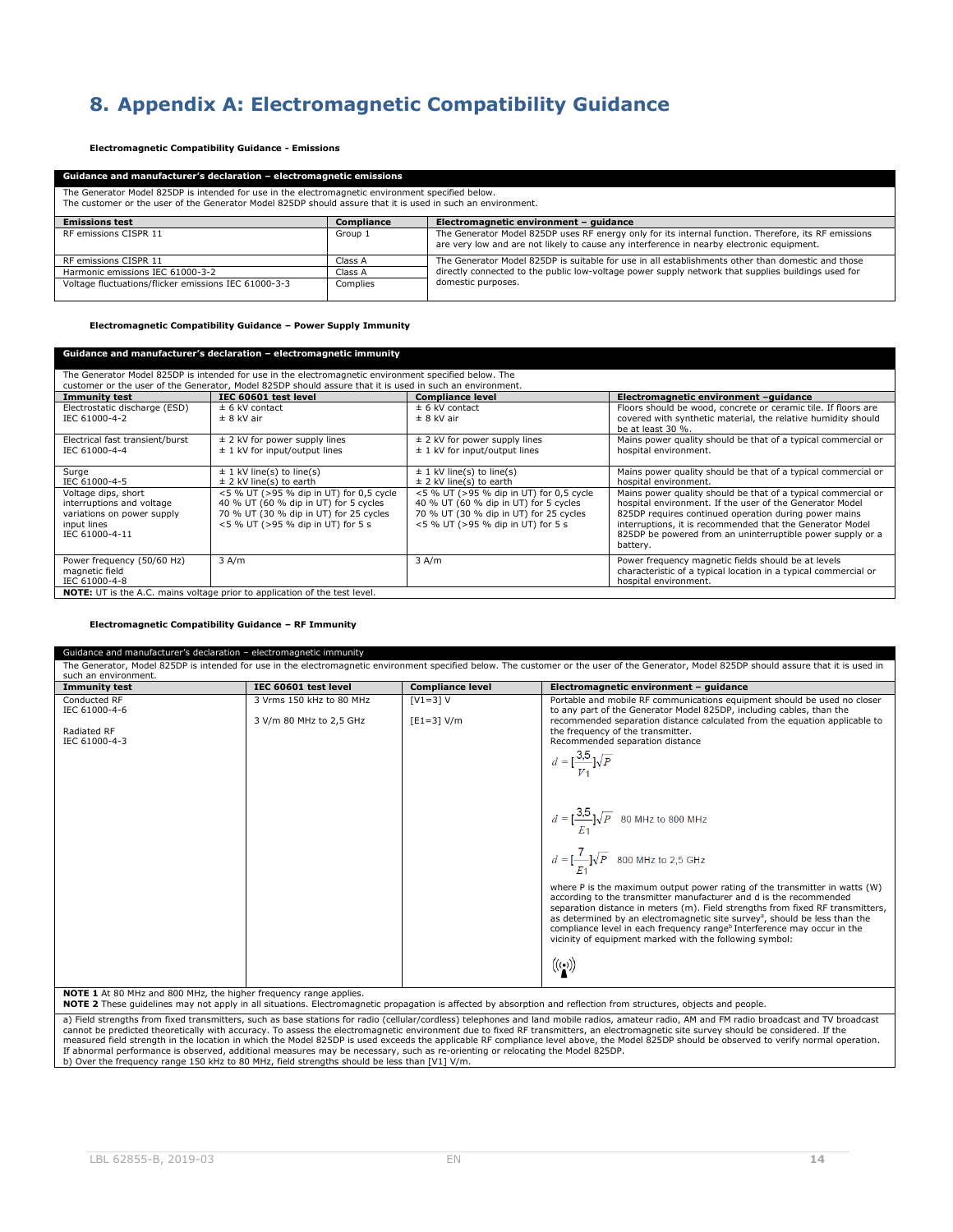# <span id="page-13-0"></span>**8. Appendix A: Electromagnetic Compatibility Guidance**

**Electromagnetic Compatibility Guidance - Emissions**

| Guidance and manufacturer's declaration - electromagnetic emissions                                                                                                                                              |            |                                                                                                                                                                                                   |  |
|------------------------------------------------------------------------------------------------------------------------------------------------------------------------------------------------------------------|------------|---------------------------------------------------------------------------------------------------------------------------------------------------------------------------------------------------|--|
| The Generator Model 825DP is intended for use in the electromagnetic environment specified below.<br>The customer or the user of the Generator Model 825DP should assure that it is used in such an environment. |            |                                                                                                                                                                                                   |  |
| <b>Emissions test</b>                                                                                                                                                                                            | Compliance | Electromagnetic environment - quidance                                                                                                                                                            |  |
| RF emissions CISPR 11                                                                                                                                                                                            | Group 1    | The Generator Model 825DP uses RF energy only for its internal function. Therefore, its RF emissions<br>are very low and are not likely to cause any interference in nearby electronic equipment. |  |
| RF emissions CISPR 11                                                                                                                                                                                            | Class A    | The Generator Model 825DP is suitable for use in all establishments other than domestic and those                                                                                                 |  |
| Harmonic emissions IEC 61000-3-2                                                                                                                                                                                 | Class A    | directly connected to the public low-voltage power supply network that supplies buildings used for                                                                                                |  |
| Voltage fluctuations/flicker emissions IEC 61000-3-3                                                                                                                                                             | Complies   | domestic purposes.                                                                                                                                                                                |  |

**Electromagnetic Compatibility Guidance – Power Supply Immunity**

| Guidance and manufacturer's declaration – electromagnetic immunity                                              |                                                                                                                                                                 |                                                                                                                                                                 |                                                                                                                                                                                                                                                                                                                           |  |
|-----------------------------------------------------------------------------------------------------------------|-----------------------------------------------------------------------------------------------------------------------------------------------------------------|-----------------------------------------------------------------------------------------------------------------------------------------------------------------|---------------------------------------------------------------------------------------------------------------------------------------------------------------------------------------------------------------------------------------------------------------------------------------------------------------------------|--|
| The Generator Model 825DP is intended for use in the electromagnetic environment specified below. The           |                                                                                                                                                                 |                                                                                                                                                                 |                                                                                                                                                                                                                                                                                                                           |  |
|                                                                                                                 | customer or the user of the Generator, Model 825DP should assure that it is used in such an environment.                                                        |                                                                                                                                                                 |                                                                                                                                                                                                                                                                                                                           |  |
| <b>Immunity test</b>                                                                                            | IEC 60601 test level                                                                                                                                            | <b>Compliance level</b>                                                                                                                                         | Electromagnetic environment -guidance                                                                                                                                                                                                                                                                                     |  |
| Electrostatic discharge (ESD)<br>IEC 61000-4-2                                                                  | $± 6$ kV contact<br>$± 8$ kV air                                                                                                                                | $± 6$ kV contact<br>$± 8$ kV air                                                                                                                                | Floors should be wood, concrete or ceramic tile. If floors are<br>covered with synthetic material, the relative humidity should<br>be at least 30 %.                                                                                                                                                                      |  |
| Electrical fast transient/burst<br>IEC 61000-4-4                                                                | $\pm$ 2 kV for power supply lines<br>$\pm$ 1 kV for input/output lines                                                                                          | $\pm$ 2 kV for power supply lines<br>$\pm$ 1 kV for input/output lines                                                                                          | Mains power quality should be that of a typical commercial or<br>hospital environment.                                                                                                                                                                                                                                    |  |
| Surge<br>IEC 61000-4-5                                                                                          | $\pm$ 1 kV line(s) to line(s)<br>$\pm$ 2 kV line(s) to earth                                                                                                    | $\pm$ 1 kV line(s) to line(s)<br>$\pm$ 2 kV line(s) to earth                                                                                                    | Mains power quality should be that of a typical commercial or<br>hospital environment.                                                                                                                                                                                                                                    |  |
| Voltage dips, short<br>interruptions and voltage<br>variations on power supply<br>input lines<br>IEC 61000-4-11 | <5 % UT (>95 % dip in UT) for 0,5 cycle<br>40 % UT (60 % dip in UT) for 5 cycles<br>70 % UT (30 % dip in UT) for 25 cycles<br><5 % UT (>95 % dip in UT) for 5 s | <5 % UT (>95 % dip in UT) for 0,5 cycle<br>40 % UT (60 % dip in UT) for 5 cycles<br>70 % UT (30 % dip in UT) for 25 cycles<br><5 % UT (>95 % dip in UT) for 5 s | Mains power quality should be that of a typical commercial or<br>hospital environment. If the user of the Generator Model<br>825DP requires continued operation during power mains<br>interruptions, it is recommended that the Generator Model<br>825DP be powered from an uninterruptible power supply or a<br>battery. |  |
| Power frequency (50/60 Hz)<br>magnetic field<br>IEC 61000-4-8                                                   | $3$ A/m<br><b>NOTE:</b> $\text{IIT}$ is the $\Lambda \cap \text{}$ mains veltage prior to application of the test level                                         | 3 A/m                                                                                                                                                           | Power frequency magnetic fields should be at levels<br>characteristic of a typical location in a typical commercial or<br>hospital environment.                                                                                                                                                                           |  |

**NOTE:** UT is the A.C. mains voltage prior to application of the test level.

### **Electromagnetic Compatibility Guidance – RF Immunity**

| Guidance and manufacturer's declaration - electromagnetic immunity<br>such an environment.                            |                                                                              |                           | The Generator, Model 825DP is intended for use in the electromagnetic environment specified below. The customer or the user of the Generator, Model 825DP should assure that it is used in                                                                                                                                                                                                                                                                                                                                                                                                                                                                                                                                                                                                                                                                                                                                                                                  |
|-----------------------------------------------------------------------------------------------------------------------|------------------------------------------------------------------------------|---------------------------|-----------------------------------------------------------------------------------------------------------------------------------------------------------------------------------------------------------------------------------------------------------------------------------------------------------------------------------------------------------------------------------------------------------------------------------------------------------------------------------------------------------------------------------------------------------------------------------------------------------------------------------------------------------------------------------------------------------------------------------------------------------------------------------------------------------------------------------------------------------------------------------------------------------------------------------------------------------------------------|
| <b>Immunity test</b>                                                                                                  | IEC 60601 test level                                                         | <b>Compliance level</b>   | Electromagnetic environment - guidance                                                                                                                                                                                                                                                                                                                                                                                                                                                                                                                                                                                                                                                                                                                                                                                                                                                                                                                                      |
| Conducted RF<br>IEC 61000-4-6<br>Radiated RF<br>IEC 61000-4-3<br><b>MORE 4. ALCO MILLION COOMIL MULTING LIGHT CO.</b> | 3 Vrms 150 kHz to 80 MHz<br>3 V/m 80 MHz to 2,5 GHz<br>$\sim$ 12 $\times$ 14 | $[V1=3]V$<br>$[E1=3] V/m$ | Portable and mobile RF communications equipment should be used no closer<br>to any part of the Generator Model 825DP, including cables, than the<br>recommended separation distance calculated from the equation applicable to<br>the frequency of the transmitter.<br>Recommended separation distance<br>$d = \left[\frac{3.5}{V_A}\right] \sqrt{P}$<br>$d = [\frac{3.5}{E_1}]\sqrt{P}$ 80 MHz to 800 MHz<br>$d = \left[\frac{7}{F_1}\right] \sqrt{P}$ 800 MHz to 2,5 GHz<br>where P is the maximum output power rating of the transmitter in watts (W)<br>according to the transmitter manufacturer and d is the recommended<br>separation distance in meters (m). Field strengths from fixed RF transmitters,<br>as determined by an electromagnetic site survey <sup>a</sup> , should be less than the<br>compliance level in each frequency range <sup>b</sup> Interference may occur in the<br>vicinity of equipment marked with the following symbol:<br>$((\cdot))$ |

NOTE 1 At 80 MHz and 800 MHz, the higher frequency range applies.<br>NOTE 2 These guidelines may not apply in all situations. Electromagnetic propagation is affected by absorption and reflection from structures, objects and p

a) Field strengths from fixed transmitters, such as base stations for radio (cellular/cordless) telephones and land mobile radios, amateur radio, AM and FM radio broadcast and TV broadcast cannot be predicted theoretically with accuracy. To assess the electromagnetic environment due to fixed RF transmitters, an electromagnetic site survey should be considered. If the<br>measured field strength in the location i b) Over the frequency range 150 kHz to 80 MHz, field strengths should be less than [V1] V/m.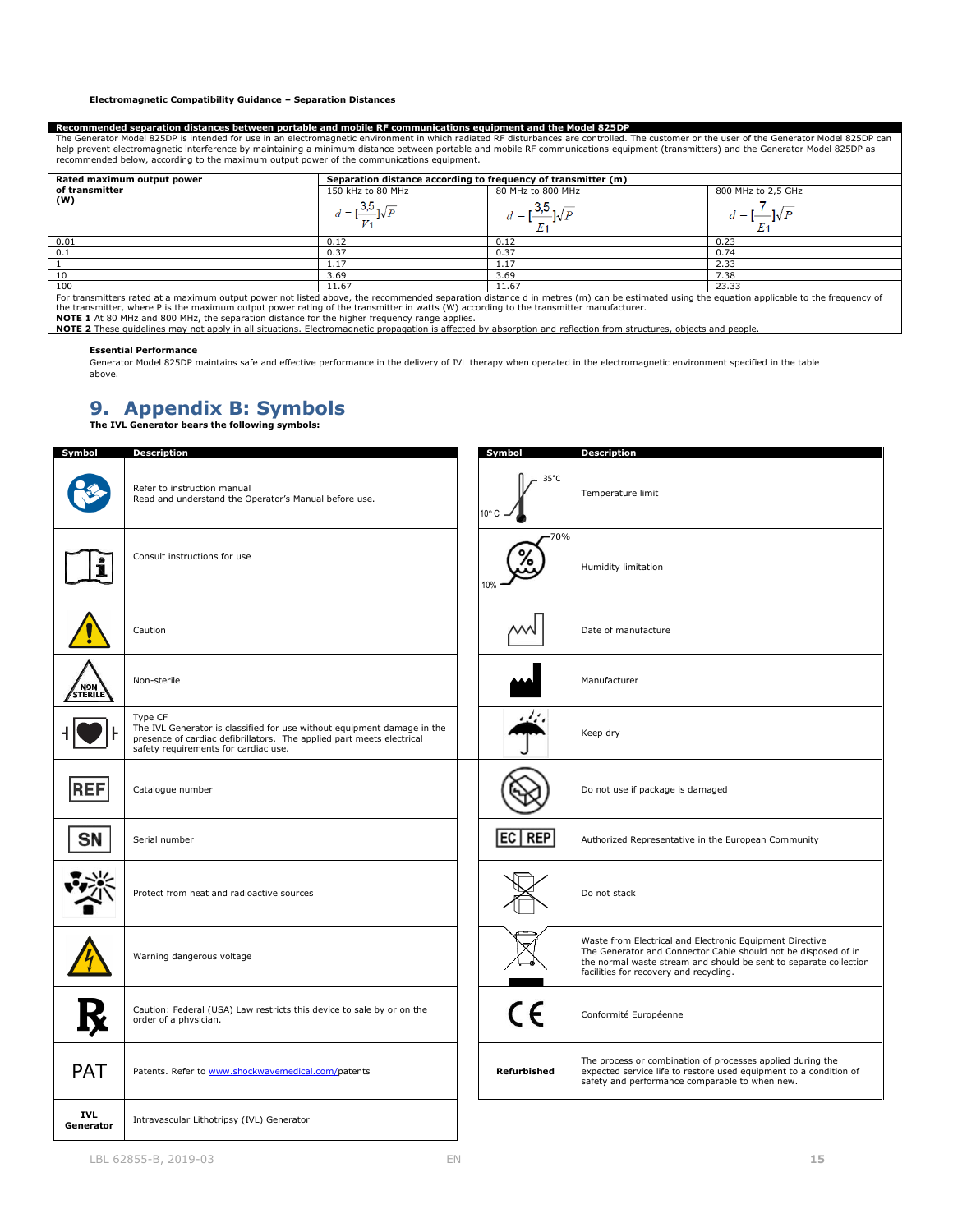#### **Electromagnetic Compatibility Guidance – Separation Distances**

#### **Recommended separation distances between portable and mobile RF communications equipment and the Model 825DP**

The Generator Model 825DP is intended for use in an electromagnetic environment in which radiated RF disturbances are controlled. The customer or the user of the Generator Model 825DP can<br>help prevent electromagnetic inter

| Rated maximum output power | Separation distance according to frequency of transmitter (m) |                   |                    |  |
|----------------------------|---------------------------------------------------------------|-------------------|--------------------|--|
| of transmitter             | 150 kHz to 80 MHz                                             | 80 MHz to 800 MHz | 800 MHz to 2,5 GHz |  |
| (W)                        | $d = 1$                                                       | $=$               | $d =$              |  |
| 0.01                       | 0.12                                                          | 0.12              | 0.23               |  |
| 0.1                        | 0.37                                                          | 0.37              | 0.74               |  |
|                            | 1.17                                                          | 1.17              | 2.33               |  |
| 10                         | 3.69                                                          | 3.69              | 7.38               |  |
| 100                        | 11.67                                                         | 11.67             | 23.33              |  |

 $11.67$ <br>For transmitters rated at a maximum output power not listed above, the recommended separation distance d in metres (m) can be estimated using the equation applicable to the frequency of<br>the transmitter, where P is

### **Essential Performance**

Generator Model 825DP maintains safe and effective performance in the delivery of IVL therapy when operated in the electromagnetic environment specified in the table above.

# <span id="page-14-0"></span>**9. Appendix B: Symbols The IVL Generator bears the following symbols:**

| Symbol                  | <b>Description</b>                                                                                                                                                                                  | Symbol                           | <b>Description</b>                                                                                                                                                                                                                        |
|-------------------------|-----------------------------------------------------------------------------------------------------------------------------------------------------------------------------------------------------|----------------------------------|-------------------------------------------------------------------------------------------------------------------------------------------------------------------------------------------------------------------------------------------|
|                         | Refer to instruction manual<br>Read and understand the Operator's Manual before use.                                                                                                                | $35^{\circ}$ C<br>$10^{\circ}$ C | Temperature limit                                                                                                                                                                                                                         |
|                         | Consult instructions for use                                                                                                                                                                        | 70%                              | Humidity limitation                                                                                                                                                                                                                       |
|                         | Caution                                                                                                                                                                                             |                                  | Date of manufacture                                                                                                                                                                                                                       |
| STERILE                 | Non-sterile                                                                                                                                                                                         |                                  | Manufacturer                                                                                                                                                                                                                              |
|                         | Type CF<br>The IVL Generator is classified for use without equipment damage in the<br>presence of cardiac defibrillators. The applied part meets electrical<br>safety requirements for cardiac use. |                                  | Keep dry                                                                                                                                                                                                                                  |
| <b>REF</b>              | Catalogue number                                                                                                                                                                                    |                                  | Do not use if package is damaged                                                                                                                                                                                                          |
| <b>SN</b>               | Serial number                                                                                                                                                                                       | EC REP                           | Authorized Representative in the European Community                                                                                                                                                                                       |
|                         | Protect from heat and radioactive sources                                                                                                                                                           |                                  | Do not stack                                                                                                                                                                                                                              |
|                         | Warning dangerous voltage                                                                                                                                                                           |                                  | Waste from Electrical and Electronic Equipment Directive<br>The Generator and Connector Cable should not be disposed of in<br>the normal waste stream and should be sent to separate collection<br>facilities for recovery and recycling. |
|                         | Caution: Federal (USA) Law restricts this device to sale by or on the<br>order of a physician.                                                                                                      | $c\epsilon$                      | Conformité Européenne                                                                                                                                                                                                                     |
| <b>PAT</b>              | Patents. Refer to www.shockwavemedical.com/patents                                                                                                                                                  | Refurbished                      | The process or combination of processes applied during the<br>expected service life to restore used equipment to a condition of<br>safety and performance comparable to when new.                                                         |
| <b>IVL</b><br>Generator | Intravascular Lithotripsy (IVL) Generator                                                                                                                                                           |                                  |                                                                                                                                                                                                                                           |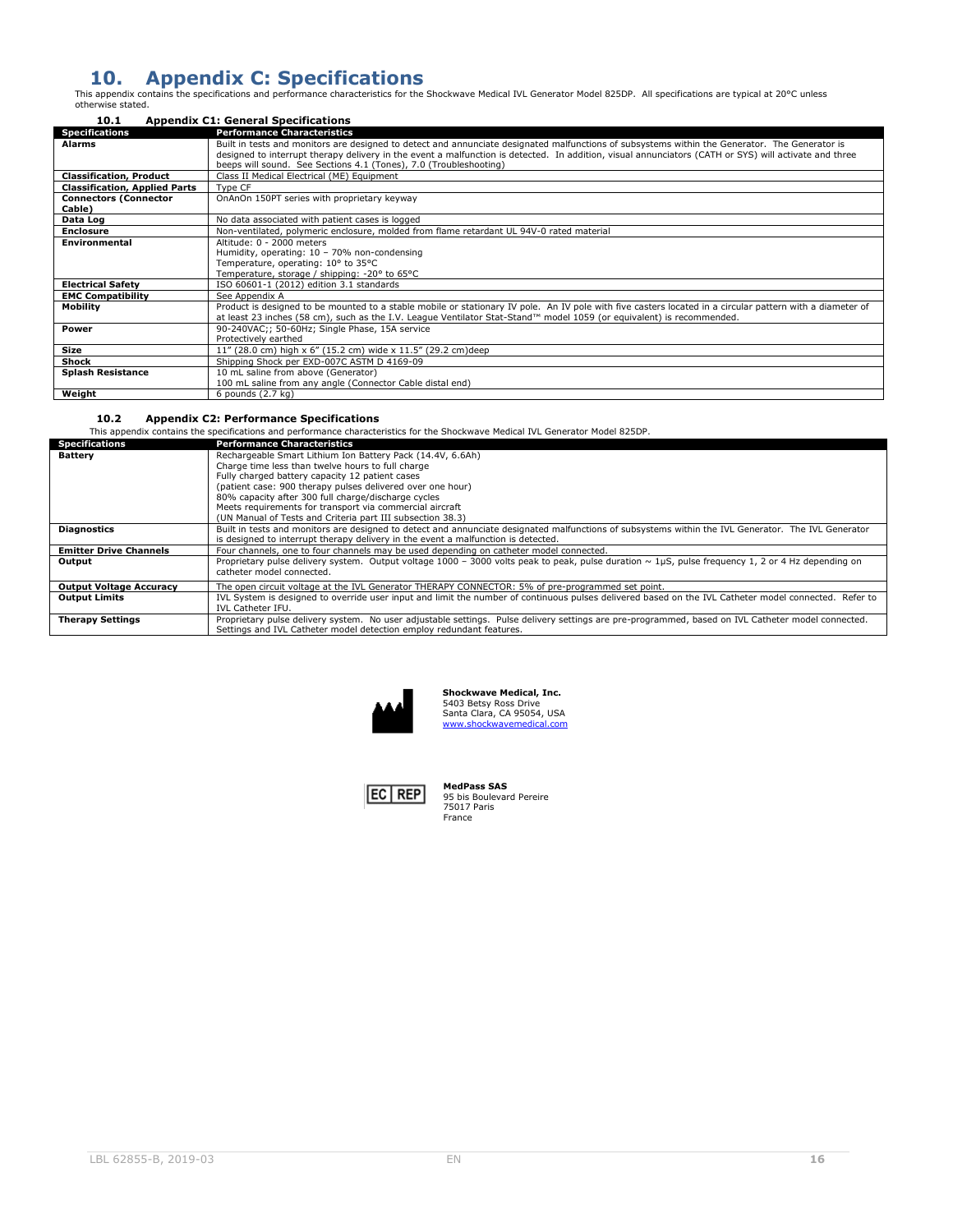# <span id="page-15-0"></span>10. Appendix C: Specifications<br>This appendix contains the specifications and performance characteristics for the Shockwave Medical IVL Generator Model 825DP. All specifications are typical at 20°C unless<br>otherwise stated.

<span id="page-15-1"></span>

| 10.1                                 | <b>Appendix C1: General Specifications</b>                                                                                                                                                                                                                                                                                                                                   |  |  |
|--------------------------------------|------------------------------------------------------------------------------------------------------------------------------------------------------------------------------------------------------------------------------------------------------------------------------------------------------------------------------------------------------------------------------|--|--|
| <b>Specifications</b>                | <b>Performance Characteristics</b>                                                                                                                                                                                                                                                                                                                                           |  |  |
| <b>Alarms</b>                        | Built in tests and monitors are designed to detect and annunciate designated malfunctions of subsystems within the Generator. The Generator is<br>designed to interrupt therapy delivery in the event a malfunction is detected. In addition, visual annunciators (CATH or SYS) will activate and three<br>beeps will sound. See Sections 4.1 (Tones), 7.0 (Troubleshooting) |  |  |
| <b>Classification, Product</b>       | Class II Medical Electrical (ME) Equipment                                                                                                                                                                                                                                                                                                                                   |  |  |
| <b>Classification, Applied Parts</b> | Type CF                                                                                                                                                                                                                                                                                                                                                                      |  |  |
| <b>Connectors (Connector</b>         | OnAnOn 150PT series with proprietary keyway                                                                                                                                                                                                                                                                                                                                  |  |  |
| Cable)                               |                                                                                                                                                                                                                                                                                                                                                                              |  |  |
| Data Log                             | No data associated with patient cases is logged                                                                                                                                                                                                                                                                                                                              |  |  |
| <b>Enclosure</b>                     | Non-ventilated, polymeric enclosure, molded from flame retardant UL 94V-0 rated material                                                                                                                                                                                                                                                                                     |  |  |
| Environmental                        | Altitude: 0 - 2000 meters                                                                                                                                                                                                                                                                                                                                                    |  |  |
|                                      | Humidity, operating: 10 - 70% non-condensing                                                                                                                                                                                                                                                                                                                                 |  |  |
|                                      | Temperature, operating: 10° to 35°C                                                                                                                                                                                                                                                                                                                                          |  |  |
|                                      | Temperature, storage / shipping: -20° to 65°C                                                                                                                                                                                                                                                                                                                                |  |  |
| <b>Electrical Safety</b>             | ISO 60601-1 (2012) edition 3.1 standards                                                                                                                                                                                                                                                                                                                                     |  |  |
| <b>EMC Compatibility</b>             | See Appendix A                                                                                                                                                                                                                                                                                                                                                               |  |  |
| <b>Mobility</b>                      | Product is designed to be mounted to a stable mobile or stationary IV pole. An IV pole with five casters located in a circular pattern with a diameter of                                                                                                                                                                                                                    |  |  |
|                                      | at least 23 inches (58 cm), such as the I.V. League Ventilator Stat-Stand™ model 1059 (or equivalent) is recommended.                                                                                                                                                                                                                                                        |  |  |
| Power                                | 90-240VAC;; 50-60Hz; Single Phase, 15A service                                                                                                                                                                                                                                                                                                                               |  |  |
|                                      | Protectively earthed                                                                                                                                                                                                                                                                                                                                                         |  |  |
| Size                                 | 11" (28.0 cm) high x 6" (15.2 cm) wide x 11.5" (29.2 cm) deep                                                                                                                                                                                                                                                                                                                |  |  |
| Shock                                | Shipping Shock per EXD-007C ASTM D 4169-09                                                                                                                                                                                                                                                                                                                                   |  |  |
| <b>Splash Resistance</b>             | 10 mL saline from above (Generator)                                                                                                                                                                                                                                                                                                                                          |  |  |
|                                      | 100 mL saline from any angle (Connector Cable distal end)                                                                                                                                                                                                                                                                                                                    |  |  |
| Weight                               | 6 pounds (2.7 kg)                                                                                                                                                                                                                                                                                                                                                            |  |  |

#### <span id="page-15-2"></span>**10.2 Appendix C2: Performance Specifications**

This appendix contains the specifications and performance characteristics for the Shockwave Medical IVL Generator Model 825DP.

| <b>Specifications</b>          | <b>Performance Characteristics</b>                                                                                                                          |  |  |
|--------------------------------|-------------------------------------------------------------------------------------------------------------------------------------------------------------|--|--|
| Battery                        | Rechargeable Smart Lithium Ion Battery Pack (14.4V, 6.6Ah)                                                                                                  |  |  |
|                                | Charge time less than twelve hours to full charge                                                                                                           |  |  |
|                                | Fully charged battery capacity 12 patient cases                                                                                                             |  |  |
|                                | (patient case: 900 therapy pulses delivered over one hour)                                                                                                  |  |  |
|                                | 80% capacity after 300 full charge/discharge cycles                                                                                                         |  |  |
|                                | Meets requirements for transport via commercial aircraft                                                                                                    |  |  |
|                                | (UN Manual of Tests and Criteria part III subsection 38.3)                                                                                                  |  |  |
| <b>Diagnostics</b>             | Built in tests and monitors are designed to detect and annunciate designated malfunctions of subsystems within the IVL Generator. The IVL Generator         |  |  |
|                                | is designed to interrupt therapy delivery in the event a malfunction is detected.                                                                           |  |  |
| <b>Emitter Drive Channels</b>  | Four channels, one to four channels may be used depending on catheter model connected.                                                                      |  |  |
| Output                         | Proprietary pulse delivery system. Output voltage 1000 - 3000 volts peak to peak, pulse duration $\sim 1 \mu S$ , pulse frequency 1, 2 or 4 Hz depending on |  |  |
|                                | catheter model connected.                                                                                                                                   |  |  |
| <b>Output Voltage Accuracy</b> | The open circuit voltage at the IVL Generator THERAPY CONNECTOR: 5% of pre-programmed set point.                                                            |  |  |
| <b>Output Limits</b>           | IVL System is designed to override user input and limit the number of continuous pulses delivered based on the IVL Catheter model connected. Refer to       |  |  |
|                                | IVL Catheter IFU.                                                                                                                                           |  |  |
| <b>Therapy Settings</b>        | Proprietary pulse delivery system. No user adjustable settings. Pulse delivery settings are pre-programmed, based on IVL Catheter model connected.          |  |  |
|                                | Settings and IVL Catheter model detection employ redundant features.                                                                                        |  |  |



**Shockwave Medical, Inc.**<br>5403 Betsy Ross Drive<br>Santa Clara, CA 95054, USA<br>[www.shockwavemedical.com](http://www.shockwavemedical.com/)



**MedPass SAS** 95 bis Boulevard Pereire 75017 Paris France